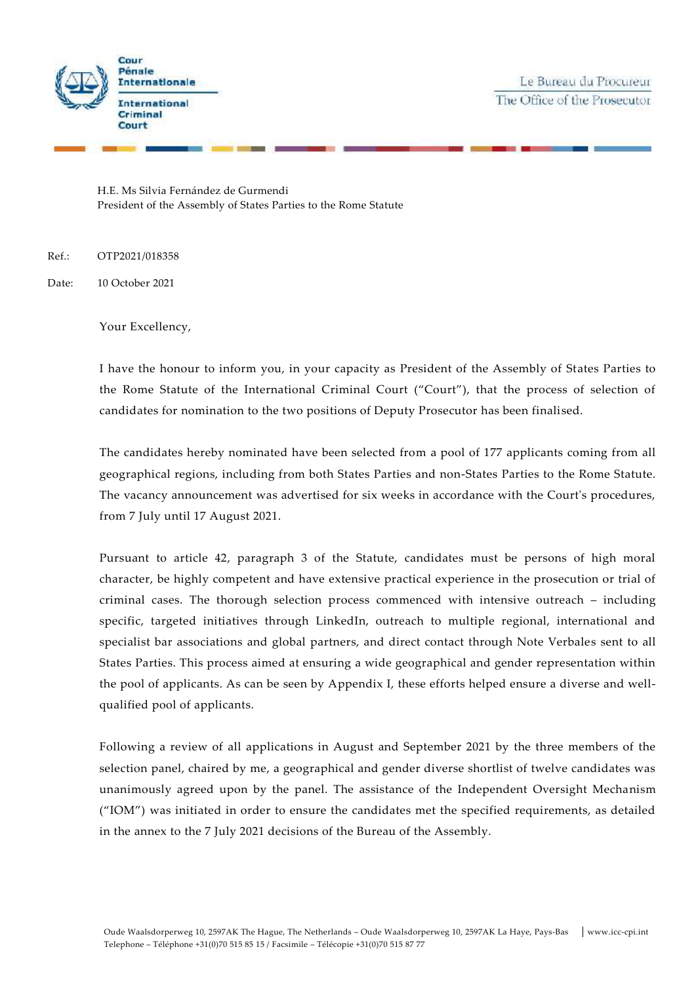



H.E. Ms Silvia Fernández de Gurmendi President of the Assembly of States Parties to the Rome Statute

Ref.: OTP2021/018358

Date: 10 October 2021

Your Excellency,

I have the honour to inform you, in your capacity as President of the Assembly of States Parties to the Rome Statute of the International Criminal Court ("Court"), that the process of selection of candidates for nomination to the two positions of Deputy Prosecutor has been finalised.

The candidates hereby nominated have been selected from a pool of 177 applicants coming from all geographical regions, including from both States Parties and non-States Parties to the Rome Statute. The vacancy announcement was advertised for six weeks in accordance with the Court's procedures, from 7 July until 17 August 2021.

Pursuant to article 42, paragraph 3 of the Statute, candidates must be persons of high moral character, be highly competent and have extensive practical experience in the prosecution or trial of criminal cases. The thorough selection process commenced with intensive outreach – including specific, targeted initiatives through LinkedIn, outreach to multiple regional, international and specialist bar associations and global partners, and direct contact through Note Verbales sent to all States Parties. This process aimed at ensuring a wide geographical and gender representation within the pool of applicants. As can be seen by Appendix I, these efforts helped ensure a diverse and well qualified pool of applicants.

Following a review of all applications in August and September 2021 by the three members of the selection panel, chaired by me, a geographical and gender diverse shortlist of twelve candidates was unanimously agreed upon by the panel. The assistance of the Independent Oversight Mechanism ("IOM") was initiated in order to ensure the candidates met the specified requirements, as detailed in the annex to the 7 July 2021 decisions of the Bureau of the Assembly.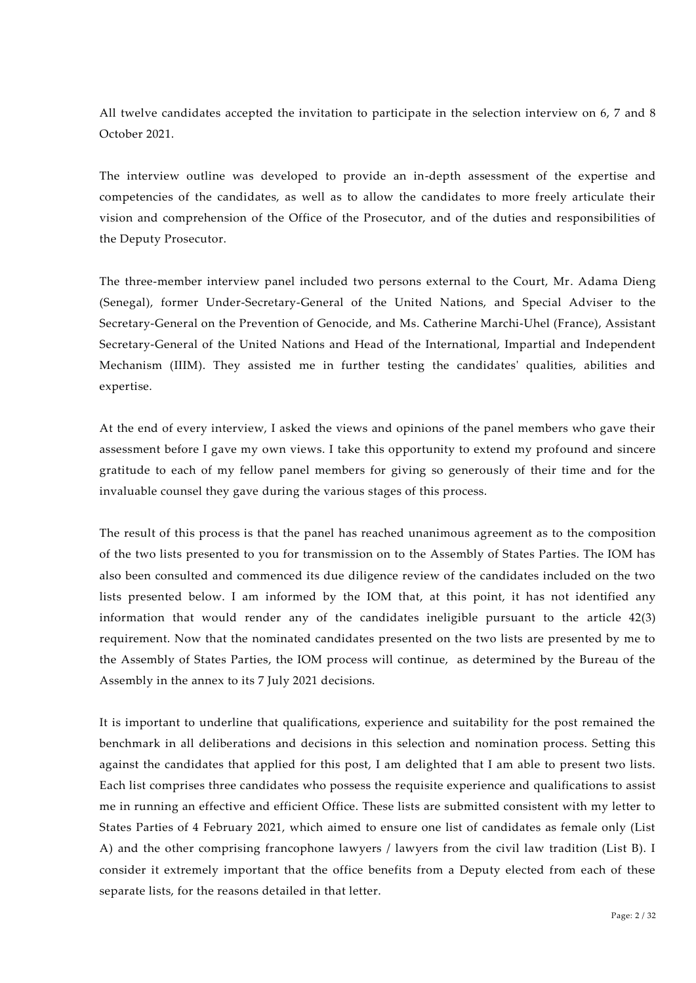All twelve candidates accepted the invitation to participate in the selection interview on 6, 7 and 8 October 2021.

The interview outline was developed to provide an in-depth assessment of the expertise and competencies of the candidates, as well as to allow the candidates to more freely articulate their vision and comprehension of the Office of the Prosecutor, and of the duties and responsibilities of the Deputy Prosecutor.

The three-member interview panel included two persons external to the Court, Mr. Adama Dieng (Senegal), former Under-Secretary-General of the United Nations, and Special Adviser to the Secretary-General on the Prevention of Genocide, and Ms. Catherine Marchi-Uhel (France), Assistant Secretary-General of the United Nations and Head of the International, Impartial and Independent Mechanism (IIIM). They assisted me in further testing the candidates' qualities, abilities and expertise.

At the end of every interview, I asked the views and opinions of the panel members who gave their assessment before I gave my own views. I take this opportunity to extend my profound and sincere gratitude to each of my fellow panel members for giving so generously of their time and for the invaluable counsel they gave during the various stages of this process.

The result of this process is that the panel has reached unanimous agreement as to the composition of the two lists presented to you for transmission on to the Assembly of States Parties. The IOM has also been consulted and commenced its due diligence review of the candidates included on the two lists presented below. I am informed by the IOM that, at this point, it has not identified any information that would render any of the candidates ineligible pursuant to the article 42(3) requirement. Now that the nominated candidates presented on the two lists are presented by me to the Assembly of States Parties, the IOM process will continue, as determined by the Bureau of the Assembly in the annex to its 7 July 2021 decisions.

It is important to underline that qualifications, experience and suitability for the post remained the benchmark in all deliberations and decisions in this selection and nomination process. Setting this against the candidates that applied for this post, I am delighted that I am able to present two lists. Each list comprises three candidates who possess the requisite experience and qualifications to assist me in running an effective and efficient Office. These lists are submitted consistent with my letter to States Parties of 4 February 2021, which aimed to ensure one list of candidates as female only (List A) and the other comprising francophone lawyers / lawyers from the civil law tradition (List B). I consider it extremely important that the office benefits from a Deputy elected from each of these separate lists, for the reasons detailed in that letter.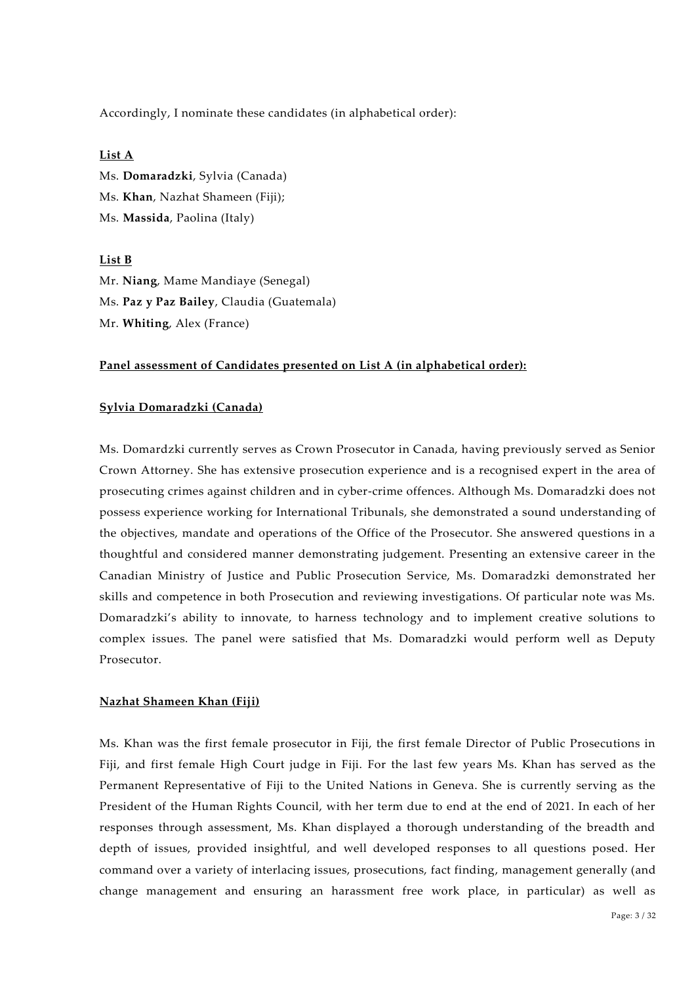Accordingly, I nominate these candidates (in alphabetical order):

### **List A**

Ms. **Domaradzki**, Sylvia (Canada) Ms. **Khan**, Nazhat Shameen (Fiji); Ms. **Massida**, Paolina (Italy)

### **List B**

Mr. **Niang**, Mame Mandiaye (Senegal) Ms. **Paz y Paz Bailey**, Claudia (Guatemala) Mr. **Whiting**, Alex (France)

### **Panel assessment of Candidates presented on List A (in alphabetical order):**

### **Sylvia Domaradzki (Canada)**

Ms. Domardzki currently serves as Crown Prosecutor in Canada, having previously served as Senior Crown Attorney. She has extensive prosecution experience and is a recognised expert in the area of prosecuting crimes against children and in cyber-crime offences. Although Ms. Domaradzki does not possess experience working for International Tribunals, she demonstrated a sound understanding of the objectives, mandate and operations of the Office of the Prosecutor. She answered questions in a thoughtful and considered manner demonstrating judgement. Presenting an extensive career in the Canadian Ministry of Justice and Public Prosecution Service, Ms. Domaradzki demonstrated her skills and competence in both Prosecution and reviewing investigations. Of particular note was Ms. Domaradzki's ability to innovate, to harness technology and to implement creative solutions to complex issues. The panel were satisfied that Ms. Domaradzki would perform well as Deputy Prosecutor.

### **Nazhat Shameen Khan (Fiji)**

Ms. Khan was the first female prosecutor in Fiji, the first female Director of Public Prosecutions in Fiji, and first female High Court judge in Fiji. For the last few years Ms. Khan has served as the Permanent Representative of Fiji to the United Nations in Geneva. She is currently serving as the President of the Human Rights Council, with her term due to end at the end of 2021. In each of her responses through assessment, Ms. Khan displayed a thorough understanding of the breadth and depth of issues, provided insightful, and well developed responses to all questions posed. Her command over a variety of interlacing issues, prosecutions, fact finding, management generally (and change management and ensuring an harassment free work place, in particular) as well as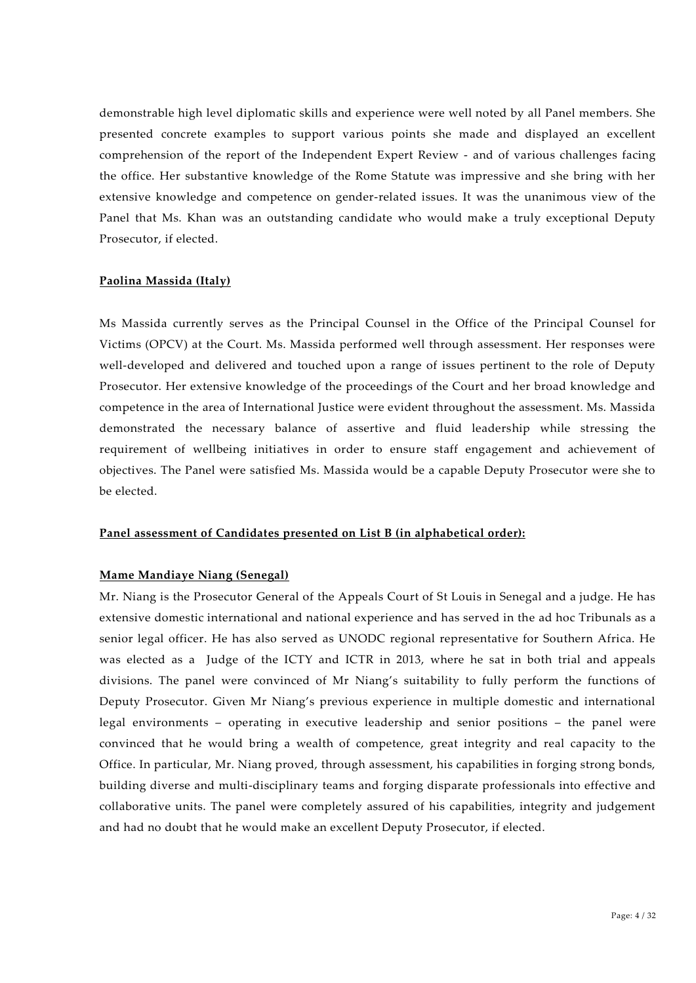demonstrable high level diplomatic skills and experience were well noted by all Panel members. She presented concrete examples to support various points she made and displayed an excellent comprehension of the report of the Independent Expert Review - and of various challenges facing the office. Her substantive knowledge of the Rome Statute was impressive and she bring with her extensive knowledge and competence on gender-related issues. It was the unanimous view of the Panel that Ms. Khan was an outstanding candidate who would make a truly exceptional Deputy Prosecutor, if elected.

### **Paolina Massida (Italy)**

Ms Massida currently serves as the Principal Counsel in the Office of the Principal Counsel for Victims (OPCV) at the Court. Ms. Massida performed well through assessment. Her responses were well-developed and delivered and touched upon a range of issues pertinent to the role of Deputy Prosecutor. Her extensive knowledge of the proceedings of the Court and her broad knowledge and competence in the area of International Justice were evident throughout the assessment. Ms. Massida demonstrated the necessary balance of assertive and fluid leadership while stressing the requirement of wellbeing initiatives in order to ensure staff engagement and achievement of objectives. The Panel were satisfied Ms. Massida would be a capable Deputy Prosecutor were she to be elected.

### **Panel assessment of Candidates presented on List B (in alphabetical order):**

### **Mame Mandiaye Niang (Senegal)**

Mr. Niang is the Prosecutor General of the Appeals Court of St Louis in Senegal and a judge. He has extensive domestic international and national experience and has served in the ad hoc Tribunals as a senior legal officer. He has also served as UNODC regional representative for Southern Africa. He was elected as a Judge of the ICTY and ICTR in 2013, where he sat in both trial and appeals divisions. The panel were convinced of Mr Niang's suitability to fully perform the functions of Deputy Prosecutor. Given Mr Niang's previous experience in multiple domestic and international legal environments – operating in executive leadership and senior positions – the panel were convinced that he would bring a wealth of competence, great integrity and real capacity to the Office. In particular, Mr. Niang proved, through assessment, his capabilities in forging strong bonds, building diverse and multi-disciplinary teams and forging disparate professionals into effective and collaborative units. The panel were completely assured of his capabilities, integrity and judgement and had no doubt that he would make an excellent Deputy Prosecutor, if elected.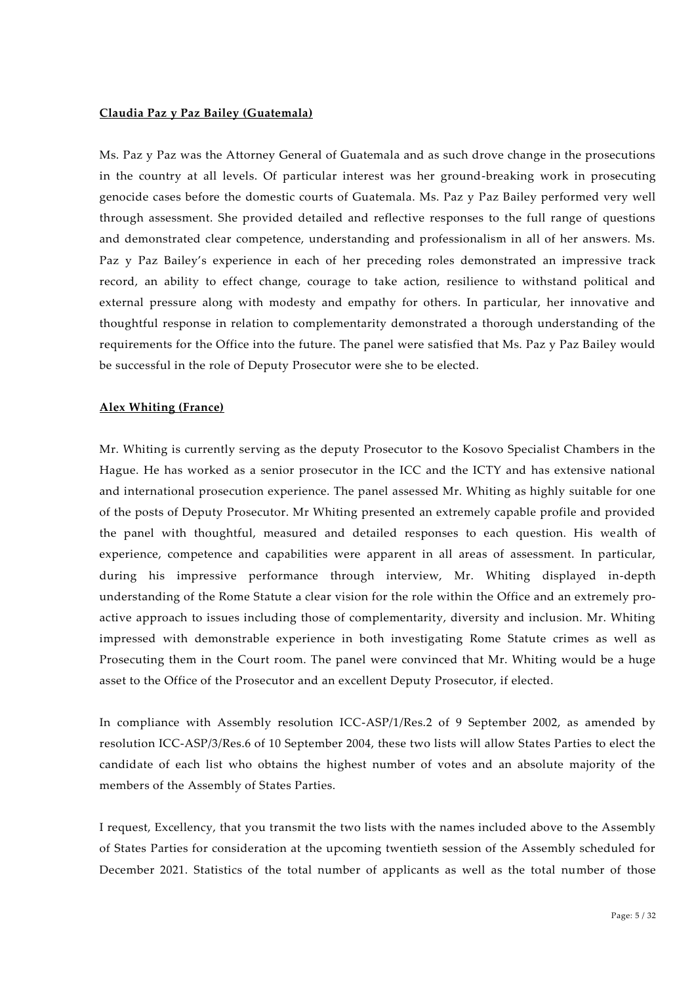### **Claudia Paz y Paz Bailey (Guatemala)**

Ms. Paz y Paz was the Attorney General of Guatemala and as such drove change in the prosecutions in the country at all levels. Of particular interest was her ground-breaking work in prosecuting genocide cases before the domestic courts of Guatemala. Ms. Paz y Paz Bailey performed very well through assessment. She provided detailed and reflective responses to the full range of questions and demonstrated clear competence, understanding and professionalism in all of her answers. Ms. Paz y Paz Bailey's experience in each of her preceding roles demonstrated an impressive track record, an ability to effect change, courage to take action, resilience to withstand political and external pressure along with modesty and empathy for others. In particular, her innovative and thoughtful response in relation to complementarity demonstrated a thorough understanding of the requirements for the Office into the future. The panel were satisfied that Ms. Paz y Paz Bailey would be successful in the role of Deputy Prosecutor were she to be elected.

### **Alex Whiting (France)**

Mr. Whiting is currently serving as the deputy Prosecutor to the Kosovo Specialist Chambers in the Hague. He has worked as a senior prosecutor in the ICC and the ICTY and has extensive national and international prosecution experience. The panel assessed Mr. Whiting as highly suitable for one of the posts of Deputy Prosecutor. Mr Whiting presented an extremely capable profile and provided the panel with thoughtful, measured and detailed responses to each question. His wealth of experience, competence and capabilities were apparent in all areas of assessment. In particular, during his impressive performance through interview, Mr. Whiting displayed in-depth understanding of the Rome Statute a clear vision for the role within the Office and an extremely pro active approach to issues including those of complementarity, diversity and inclusion. Mr. Whiting impressed with demonstrable experience in both investigating Rome Statute crimes as well as Prosecuting them in the Court room. The panel were convinced that Mr. Whiting would be a huge asset to the Office of the Prosecutor and an excellent Deputy Prosecutor, if elected.

In compliance with Assembly resolution ICC-ASP/1/Res.2 of 9 September 2002, as amended by resolution ICC-ASP/3/Res.6 of 10 September 2004, these two lists will allow States Parties to elect the candidate of each list who obtains the highest number of votes and an absolute majority of the members of the Assembly of States Parties.

I request, Excellency, that you transmit the two lists with the names included above to the Assembly of States Parties for consideration at the upcoming twentieth session of the Assembly scheduled for December 2021. Statistics of the total number of applicants as well as the total number of those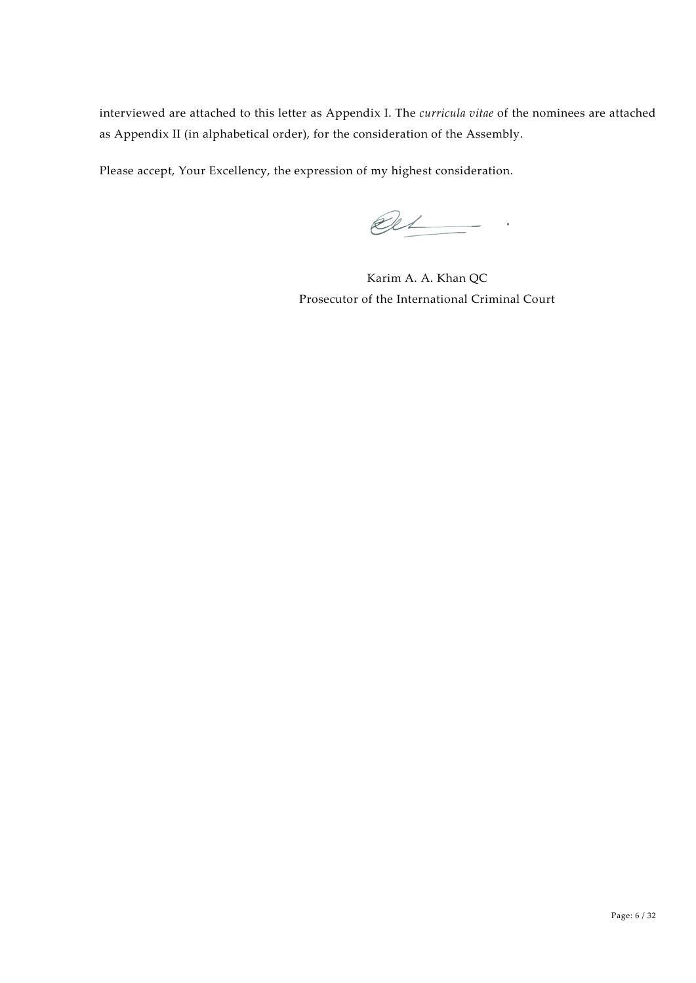interviewed are attached to this letter as Appendix I. The *curricula vitae* of the nominees are attached as Appendix II (in alphabetical order), for the consideration of the Assembly.

Please accept, Your Excellency, the expression of my highest consideration.

 $el$ 

Karim A. A. Khan QC Prosecutor of the International Criminal Court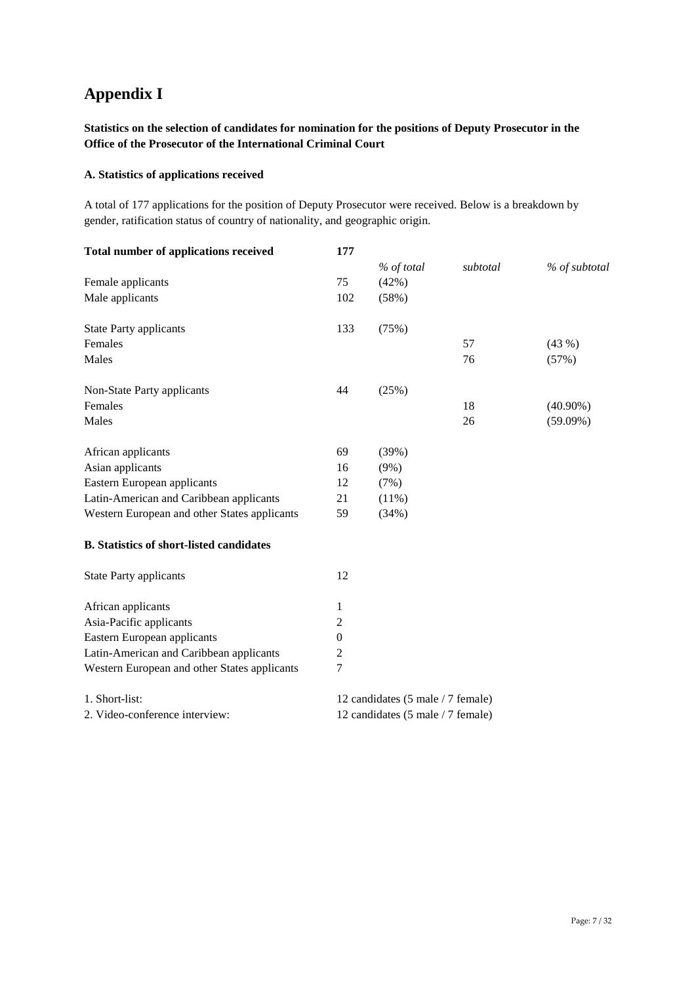# **Appendix I**

## **Statistics on the selection of candidates for nomination for the positions of Deputy Prosecutor in the Office of the Prosecutor of the International Criminal Court**

### **A. Statistics of applications received**

A total of 177 applications for the position of Deputy Prosecutor were received. Below is a breakdown by gender, ratification status of country of nationality, and geographic origin.

| <b>Total number of applications received</b>    | 177                               |            |          |               |
|-------------------------------------------------|-----------------------------------|------------|----------|---------------|
|                                                 |                                   | % of total | subtotal | % of subtotal |
| Female applicants                               | 75                                | (42%)      |          |               |
| Male applicants                                 | 102                               | (58%)      |          |               |
| <b>State Party applicants</b>                   | 133                               | (75%)      |          |               |
| Females                                         |                                   |            | 57       | (43%)         |
| Males                                           |                                   |            | 76       | (57%)         |
| Non-State Party applicants                      | 44                                | (25%)      |          |               |
| Females                                         |                                   |            | 18       | $(40.90\%)$   |
| Males                                           |                                   |            | 26       | $(59.09\%)$   |
| African applicants                              | 69                                | (39%)      |          |               |
| Asian applicants                                | 16                                | $(9\%)$    |          |               |
| Eastern European applicants                     | 12                                | (7%)       |          |               |
| Latin-American and Caribbean applicants         | 21                                | (11%)      |          |               |
| Western European and other States applicants    | 59                                | (34%)      |          |               |
| <b>B.</b> Statistics of short-listed candidates |                                   |            |          |               |
| <b>State Party applicants</b>                   | 12                                |            |          |               |
| African applicants                              | 1                                 |            |          |               |
| Asia-Pacific applicants                         | 2                                 |            |          |               |
| Eastern European applicants                     | $\Omega$                          |            |          |               |
| Latin-American and Caribbean applicants         | $\overline{c}$                    |            |          |               |
| Western European and other States applicants    | 7                                 |            |          |               |
| 1. Short-list:                                  | 12 candidates (5 male / 7 female) |            |          |               |
| 2. Video-conference interview:                  | 12 candidates (5 male / 7 female) |            |          |               |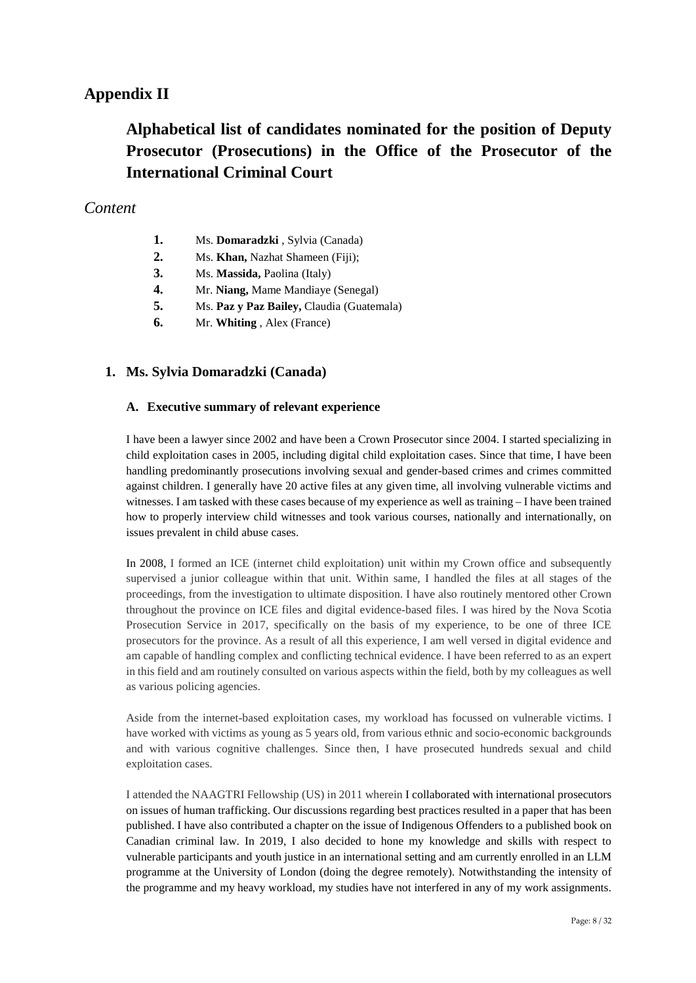# **Appendix II**

# **Alphabetical list of candidates nominated for the position of Deputy Prosecutor (Prosecutions) in the Office of the Prosecutor of the International Criminal Court**

# *Content*

- **1.** Ms. **Domaradzki** , Sylvia (Canada)
- **2.** Ms. **Khan,** Nazhat Shameen (Fiji);
- **3.** Ms. **Massida,** Paolina (Italy)
- **4.** Mr. **Niang,** Mame Mandiaye (Senegal)
- **5.** Ms. **Paz y Paz Bailey,** Claudia (Guatemala)
- **6.** Mr. **Whiting** , Alex (France)

# **1. Ms. Sylvia Domaradzki (Canada)**

### **A. Executive summary of relevant experience**

I have been a lawyer since 2002 and have been a Crown Prosecutor since 2004. I started specializing in child exploitation cases in 2005, including digital child exploitation cases. Since that time, I have been handling predominantly prosecutions involving sexual and gender-based crimes and crimes committed against children. I generally have 20 active files at any given time, all involving vulnerable victims and witnesses. I am tasked with these cases because of my experience as well as training – I have been trained how to properly interview child witnesses and took various courses, nationally and internationally, on issues prevalent in child abuse cases.

In 2008, I formed an ICE (internet child exploitation) unit within my Crown office and subsequently supervised a junior colleague within that unit. Within same, I handled the files at all stages of the proceedings, from the investigation to ultimate disposition. I have also routinely mentored other Crown throughout the province on ICE files and digital evidence-based files. I was hired by the Nova Scotia Prosecution Service in 2017, specifically on the basis of my experience, to be one of three ICE prosecutors for the province. As a result of all this experience, I am well versed in digital evidence and am capable of handling complex and conflicting technical evidence. I have been referred to as an expert in this field and am routinely consulted on various aspects within the field, both by my colleagues as well as various policing agencies.

Aside from the internet-based exploitation cases, my workload has focussed on vulnerable victims. I have worked with victims as young as 5 years old, from various ethnic and socio-economic backgrounds and with various cognitive challenges. Since then, I have prosecuted hundreds sexual and child exploitation cases.

I attended the NAAGTRI Fellowship (US) in 2011 wherein I collaborated with international prosecutors on issues of human trafficking. Our discussions regarding best practices resulted in a paper that has been published. I have also contributed a chapter on the issue of Indigenous Offenders to a published book on Canadian criminal law. In 2019, I also decided to hone my knowledge and skills with respect to vulnerable participants and youth justice in an international setting and am currently enrolled in an LLM programme at the University of London (doing the degree remotely). Notwithstanding the intensity of the programme and my heavy workload, my studies have not interfered in any of my work assignments.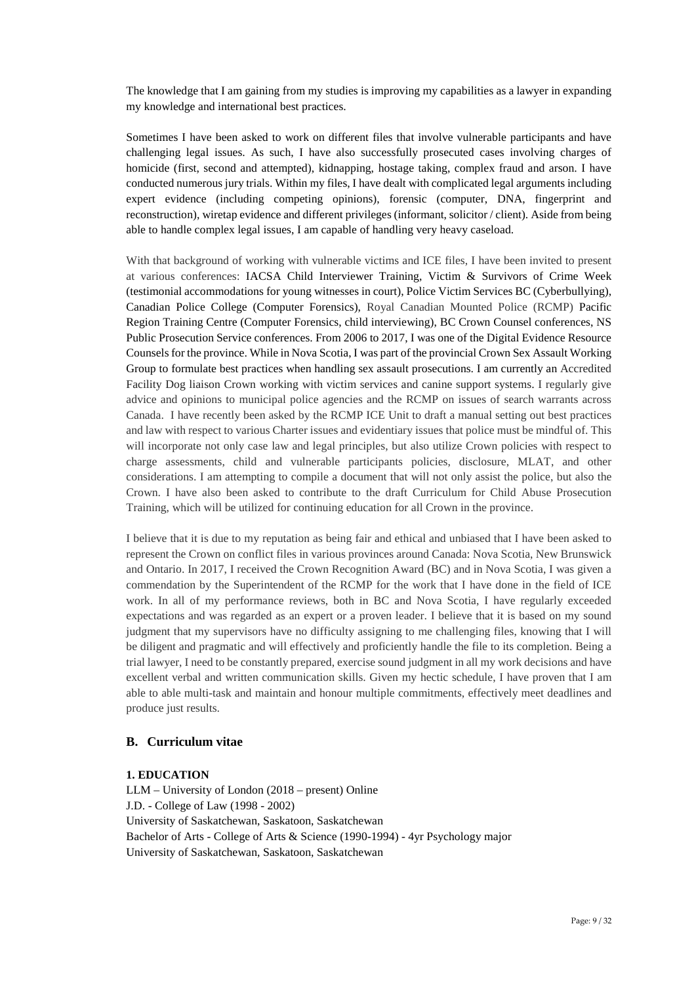The knowledge that I am gaining from my studies is improving my capabilities as a lawyer in expanding my knowledge and international best practices.

Sometimes I have been asked to work on different files that involve vulnerable participants and have challenging legal issues. As such, I have also successfully prosecuted cases involving charges of homicide (first, second and attempted), kidnapping, hostage taking, complex fraud and arson. I have conducted numerous jury trials. Within my files, I have dealt with complicated legal arguments including expert evidence (including competing opinions), forensic (computer, DNA, fingerprint and reconstruction), wiretap evidence and different privileges (informant, solicitor / client). Aside from being able to handle complex legal issues, I am capable of handling very heavy caseload.

With that background of working with vulnerable victims and ICE files, I have been invited to present at various conferences: IACSA Child Interviewer Training, Victim & Survivors of Crime Week (testimonial accommodations for young witnesses in court), Police Victim Services BC (Cyberbullying), Canadian Police College (Computer Forensics), Royal Canadian Mounted Police (RCMP) Pacific Region Training Centre (Computer Forensics, child interviewing), BC Crown Counsel conferences, NS Public Prosecution Service conferences. From 2006 to 2017, I was one of the Digital Evidence Resource Counsels for the province. While in Nova Scotia, I was part of the provincial Crown Sex Assault Working Group to formulate best practices when handling sex assault prosecutions. I am currently an Accredited Facility Dog liaison Crown working with victim services and canine support systems. I regularly give advice and opinions to municipal police agencies and the RCMP on issues of search warrants across Canada. I have recently been asked by the RCMP ICE Unit to draft a manual setting out best practices and law with respect to various Charter issues and evidentiary issues that police must be mindful of. This will incorporate not only case law and legal principles, but also utilize Crown policies with respect to charge assessments, child and vulnerable participants policies, disclosure, MLAT, and other considerations. I am attempting to compile a document that will not only assist the police, but also the Crown. I have also been asked to contribute to the draft Curriculum for Child Abuse Prosecution Training, which will be utilized for continuing education for all Crown in the province.

I believe that it is due to my reputation as being fair and ethical and unbiased that I have been asked to represent the Crown on conflict files in various provinces around Canada: Nova Scotia, New Brunswick and Ontario. In 2017, I received the Crown Recognition Award (BC) and in Nova Scotia, I was given a commendation by the Superintendent of the RCMP for the work that I have done in the field of ICE work. In all of my performance reviews, both in BC and Nova Scotia, I have regularly exceeded expectations and was regarded as an expert or a proven leader. I believe that it is based on my sound judgment that my supervisors have no difficulty assigning to me challenging files, knowing that I will be diligent and pragmatic and will effectively and proficiently handle the file to its completion. Being a trial lawyer, I need to be constantly prepared, exercise sound judgment in all my work decisions and have excellent verbal and written communication skills. Given my hectic schedule, I have proven that I am able to able multi-task and maintain and honour multiple commitments, effectively meet deadlines and produce just results.

### **B. Curriculum vitae**

### **1. EDUCATION**

LLM – University of London (2018 – present) Online J.D. - College of Law (1998 - 2002) University of Saskatchewan, Saskatoon, Saskatchewan Bachelor of Arts - College of Arts & Science (1990-1994) - 4yr Psychology major University of Saskatchewan, Saskatoon, Saskatchewan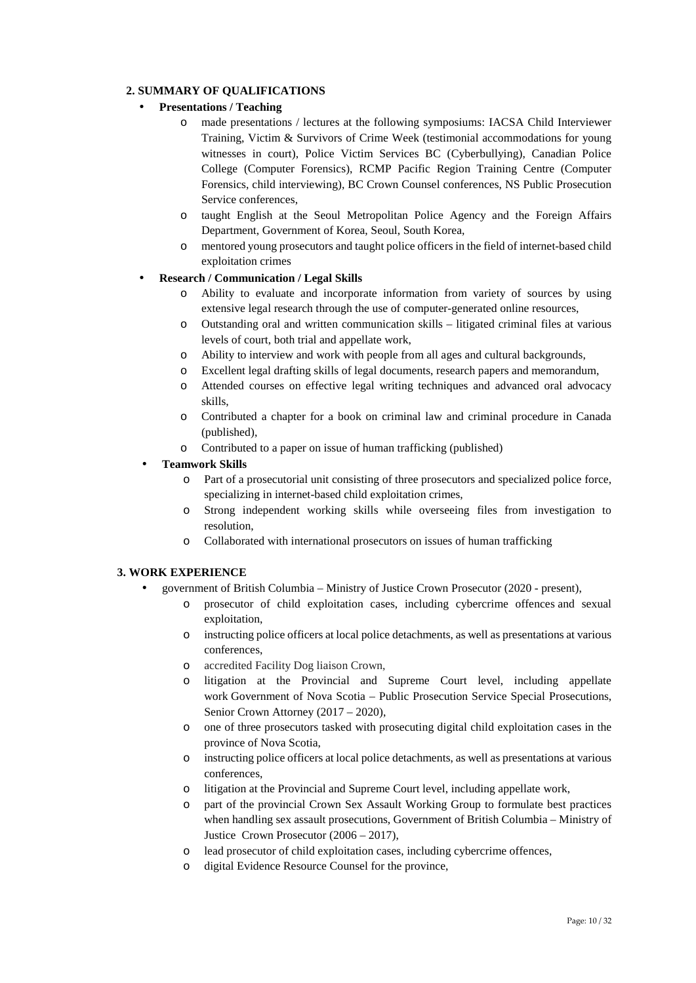### **2. SUMMARY OF QUALIFICATIONS**

### **Presentations / Teaching**

- o made presentations / lectures at the following symposiums: IACSA Child Interviewer Training, Victim & Survivors of Crime Week (testimonial accommodations for young witnesses in court), Police Victim Services BC (Cyberbullying), Canadian Police College (Computer Forensics), RCMP Pacific Region Training Centre (Computer Forensics, child interviewing), BC Crown Counsel conferences, NS Public Prosecution Service conferences,
- o taught English at the Seoul Metropolitan Police Agency and the Foreign Affairs Department, Government of Korea, Seoul, South Korea,
- o mentored young prosecutors and taught police officers in the field of internet-based child exploitation crimes

### **Research / Communication / Legal Skills**

- o Ability to evaluate and incorporate information from variety of sources by using extensive legal research through the use of computer-generated online resources,
- o Outstanding oral and written communication skills litigated criminal files at various levels of court, both trial and appellate work,
- o Ability to interview and work with people from all ages and cultural backgrounds,
- o Excellent legal drafting skills of legal documents, research papers and memorandum,
- o Attended courses on effective legal writing techniques and advanced oral advocacy skills,
- o Contributed a chapter for a book on criminal law and criminal procedure in Canada (published),
- o Contributed to a paper on issue of human trafficking (published)

### **Teamwork Skills**

- o Part of a prosecutorial unit consisting of three prosecutors and specialized police force, specializing in internet-based child exploitation crimes,
- o Strong independent working skills while overseeing files from investigation to resolution,
- o Collaborated with international prosecutors on issues of human trafficking

### **3. WORK EXPERIENCE**

- government of British Columbia Ministry of Justice Crown Prosecutor (2020 present),
	- o prosecutor of child exploitation cases, including cybercrime offences and sexual exploitation,
	- o instructing police officers at local police detachments, as well as presentations at various conferences,
	- o accredited Facility Dog liaison Crown,
	- o litigation at the Provincial and Supreme Court level, including appellate work Government of Nova Scotia – Public Prosecution Service Special Prosecutions, Senior Crown Attorney (2017 – 2020),
	- o one of three prosecutors tasked with prosecuting digital child exploitation cases in the province of Nova Scotia,
	- o instructing police officers at local police detachments, as well as presentations at various conferences,
	- o litigation at the Provincial and Supreme Court level, including appellate work,
	- o part of the provincial Crown Sex Assault Working Group to formulate best practices when handling sex assault prosecutions, Government of British Columbia – Ministry of Justice Crown Prosecutor (2006 – 2017),
	- o lead prosecutor of child exploitation cases, including cybercrime offences,
	- o digital Evidence Resource Counsel for the province,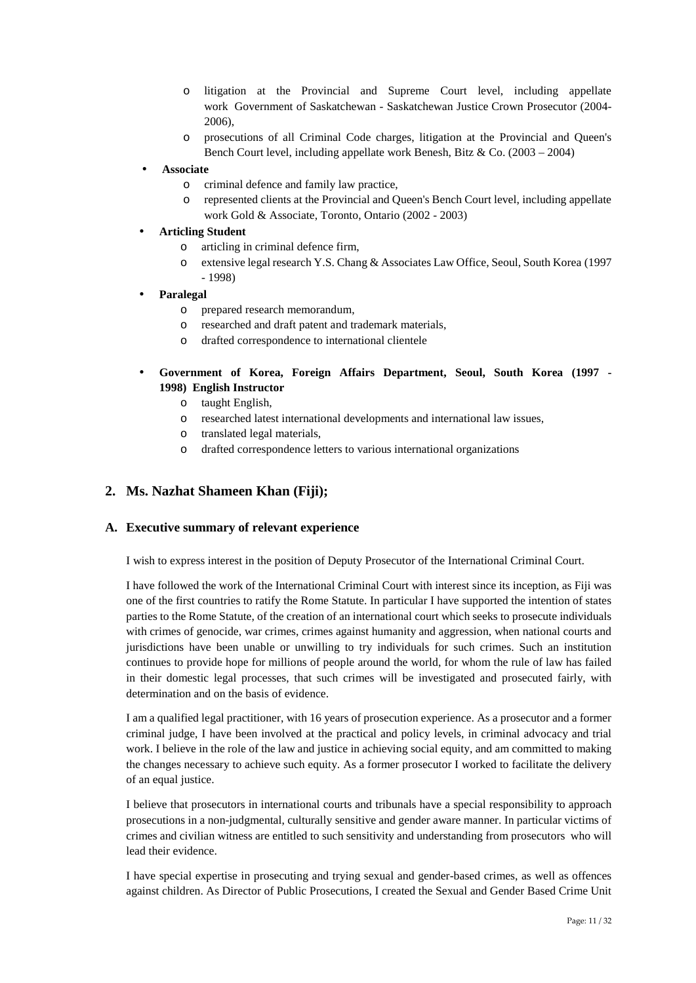- o litigation at the Provincial and Supreme Court level, including appellate work Government of Saskatchewan - Saskatchewan Justice Crown Prosecutor (2004- 2006),
- o prosecutions of all Criminal Code charges, litigation at the Provincial and Queen's Bench Court level, including appellate work Benesh, Bitz & Co. (2003 – 2004)
- **Associate**
	- o criminal defence and family law practice,
	- o represented clients at the Provincial and Queen's Bench Court level, including appellate work Gold & Associate, Toronto, Ontario (2002 - 2003)

### **Articling Student**

- o articling in criminal defence firm,
- o extensive legal research Y.S. Chang & Associates Law Office, Seoul, South Korea (1997 - 1998)

### **Paralegal**

- o prepared research memorandum,
- o researched and draft patent and trademark materials,
- o drafted correspondence to international clientele

## **Government of Korea, Foreign Affairs Department, Seoul, South Korea (1997 - 1998) English Instructor**

- o taught English,
- o researched latest international developments and international law issues,
- o translated legal materials,
- o drafted correspondence letters to various international organizations

# **2. Ms. Nazhat Shameen Khan (Fiji);**

### **A. Executive summary of relevant experience**

I wish to express interest in the position of Deputy Prosecutor of the International Criminal Court.

I have followed the work of the International Criminal Court with interest since its inception, as Fiji was one of the first countries to ratify the Rome Statute. In particular I have supported the intention of states parties to the Rome Statute, of the creation of an international court which seeks to prosecute individuals with crimes of genocide, war crimes, crimes against humanity and aggression, when national courts and jurisdictions have been unable or unwilling to try individuals for such crimes. Such an institution continues to provide hope for millions of people around the world, for whom the rule of law has failed in their domestic legal processes, that such crimes will be investigated and prosecuted fairly, with determination and on the basis of evidence.

I am a qualified legal practitioner, with 16 years of prosecution experience. As a prosecutor and a former criminal judge, I have been involved at the practical and policy levels, in criminal advocacy and trial work. I believe in the role of the law and justice in achieving social equity, and am committed to making the changes necessary to achieve such equity. As a former prosecutor I worked to facilitate the delivery of an equal justice.

I believe that prosecutors in international courts and tribunals have a special responsibility to approach prosecutions in a non-judgmental, culturally sensitive and gender aware manner. In particular victims of crimes and civilian witness are entitled to such sensitivity and understanding from prosecutors who will lead their evidence.

I have special expertise in prosecuting and trying sexual and gender-based crimes, as well as offences against children. As Director of Public Prosecutions, I created the Sexual and Gender Based Crime Unit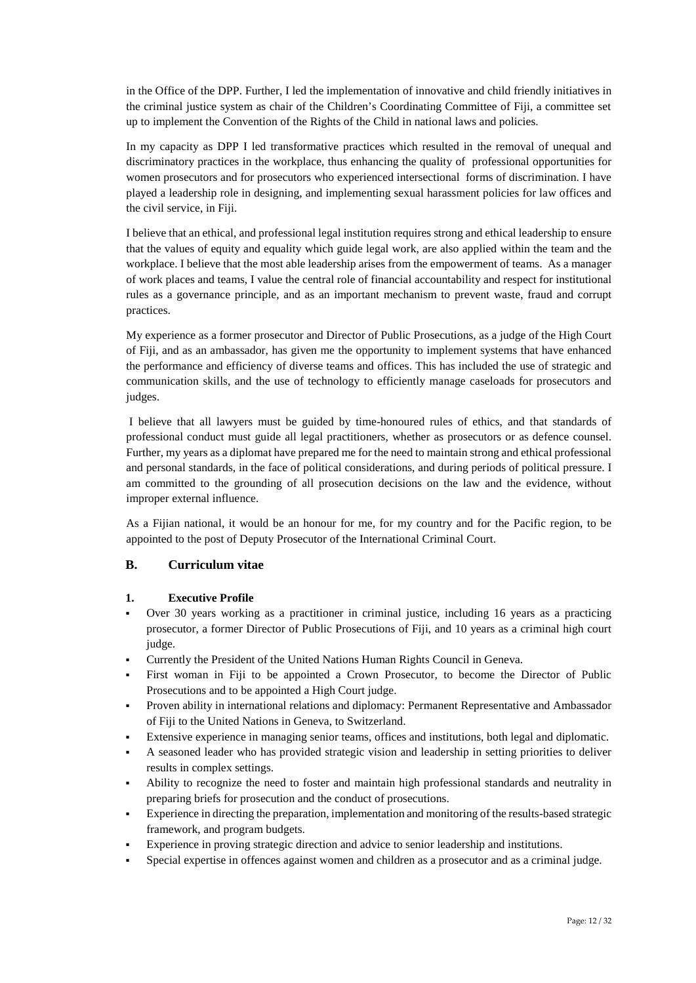in the Office of the DPP. Further, I led the implementation of innovative and child friendly initiatives in the criminal justice system as chair of the Children's Coordinating Committee of Fiji, a committee set up to implement the Convention of the Rights of the Child in national laws and policies.

In my capacity as DPP I led transformative practices which resulted in the removal of unequal and discriminatory practices in the workplace, thus enhancing the quality of professional opportunities for women prosecutors and for prosecutors who experienced intersectional forms of discrimination. I have played a leadership role in designing, and implementing sexual harassment policies for law offices and the civil service, in Fiji.

I believe that an ethical, and professional legal institution requires strong and ethical leadership to ensure that the values of equity and equality which guide legal work, are also applied within the team and the workplace. I believe that the most able leadership arises from the empowerment of teams. As a manager of work places and teams, I value the central role of financial accountability and respect for institutional rules as a governance principle, and as an important mechanism to prevent waste, fraud and corrupt practices.

My experience as a former prosecutor and Director of Public Prosecutions, as a judge of the High Court of Fiji, and as an ambassador, has given me the opportunity to implement systems that have enhanced the performance and efficiency of diverse teams and offices. This has included the use of strategic and communication skills, and the use of technology to efficiently manage caseloads for prosecutors and judges.

I believe that all lawyers must be guided by time-honoured rules of ethics, and that standards of professional conduct must guide all legal practitioners, whether as prosecutors or as defence counsel. Further, my years as a diplomat have prepared me for the need to maintain strong and ethical professional and personal standards, in the face of political considerations, and during periods of political pressure. I am committed to the grounding of all prosecution decisions on the law and the evidence, without improper external influence.

As a Fijian national, it would be an honour for me, for my country and for the Pacific region, to be appointed to the post of Deputy Prosecutor of the International Criminal Court.

### **B. Curriculum vitae**

### **1. Executive Profile**

- Over 30 years working as a practitioner in criminal justice, including 16 years as a practicing prosecutor, a former Director of Public Prosecutions of Fiji, and 10 years as a criminal high court judge.
- Currently the President of the United Nations Human Rights Council in Geneva.
- First woman in Fiji to be appointed a Crown Prosecutor, to become the Director of Public Prosecutions and to be appointed a High Court judge.
- Proven ability in international relations and diplomacy: Permanent Representative and Ambassador of Fiji to the United Nations in Geneva, to Switzerland.
- Extensive experience in managing senior teams, offices and institutions, both legal and diplomatic.
- A seasoned leader who has provided strategic vision and leadership in setting priorities to deliver results in complex settings.
- Ability to recognize the need to foster and maintain high professional standards and neutrality in preparing briefs for prosecution and the conduct of prosecutions.
- Experience in directing the preparation, implementation and monitoring of the results-based strategic framework, and program budgets.
- Experience in proving strategic direction and advice to senior leadership and institutions.
- Special expertise in offences against women and children as a prosecutor and as a criminal judge.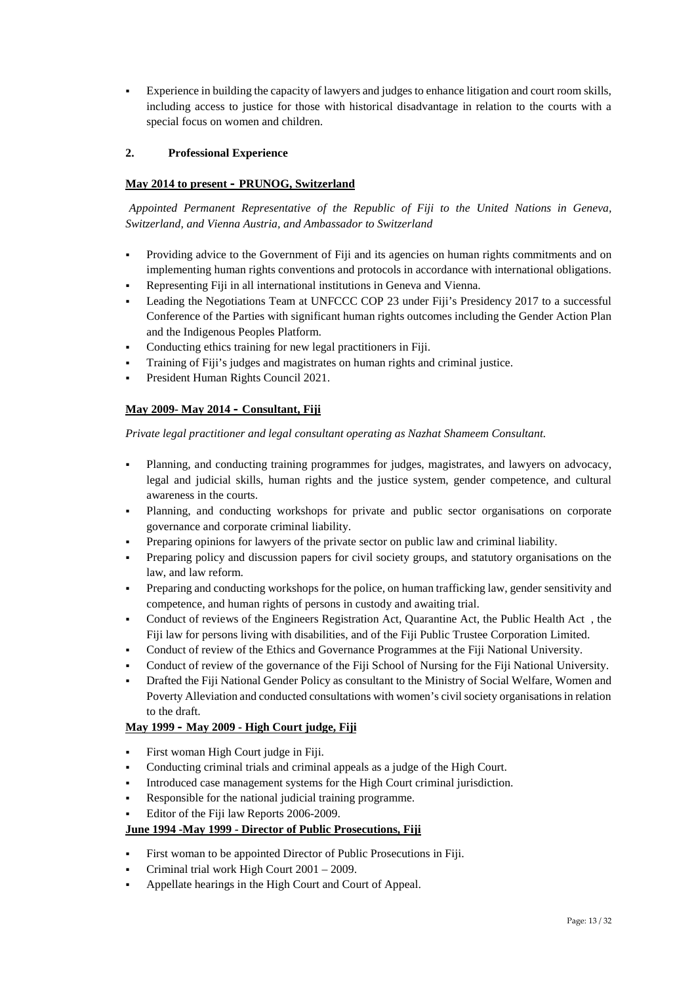Experience in building the capacity of lawyers and judges to enhance litigation and court room skills, including access to justice for those with historical disadvantage in relation to the courts with a special focus on women and children.

### **2. Professional Experience**

### **May 2014 to present – PRUNOG, Switzerland**

*Appointed Permanent Representative of the Republic of Fiji to the United Nations in Geneva, Switzerland, and Vienna Austria, and Ambassador to Switzerland*

- Providing advice to the Government of Fiji and its agencies on human rights commitments and on implementing human rights conventions and protocols in accordance with international obligations.
- Representing Fiji in all international institutions in Geneva and Vienna.
- Leading the Negotiations Team at UNFCCC COP 23 under Fiji's Presidency 2017 to a successful Conference of the Parties with significant human rights outcomes including the Gender Action Plan and the Indigenous Peoples Platform.
- Conducting ethics training for new legal practitioners in Fiji.
- Training of Fiji's judges and magistrates on human rights and criminal justice.
- President Human Rights Council 2021.

### **May 2009- May 2014 – Consultant, Fiji**

*Private legal practitioner and legal consultant operating as Nazhat Shameem Consultant.*

- Planning, and conducting training programmes for judges, magistrates, and lawyers on advocacy, legal and judicial skills, human rights and the justice system, gender competence, and cultural awareness in the courts.
- Planning, and conducting workshops for private and public sector organisations on corporate governance and corporate criminal liability.
- Preparing opinions for lawyers of the private sector on public law and criminal liability.
- Preparing policy and discussion papers for civil society groups, and statutory organisations on the law, and law reform.
- Preparing and conducting workshops for the police, on human trafficking law, gender sensitivity and competence, and human rights of persons in custody and awaiting trial.
- Conduct of reviews of the Engineers Registration Act, Quarantine Act, the Public Health Act , the Fiji law for persons living with disabilities, and of the Fiji Public Trustee Corporation Limited.
- Conduct of review of the Ethics and Governance Programmes at the Fiji National University.
- Conduct of review of the governance of the Fiji School of Nursing for the Fiji National University.
- Drafted the Fiji National Gender Policy as consultant to the Ministry of Social Welfare, Women and Poverty Alleviation and conducted consultations with women's civil society organisations in relation to the draft.

### **May 1999 – May 2009 - High Court judge, Fiji**

- First woman High Court judge in Fiji.
- Conducting criminal trials and criminal appeals as a judge of the High Court.
- Introduced case management systems for the High Court criminal jurisdiction.
- Responsible for the national judicial training programme.
- Editor of the Fiji law Reports 2006-2009.

### **June 1994 -May 1999 - Director of Public Prosecutions, Fiji**

- First woman to be appointed Director of Public Prosecutions in Fiji.
- Criminal trial work High Court 2001 2009.
- Appellate hearings in the High Court and Court of Appeal.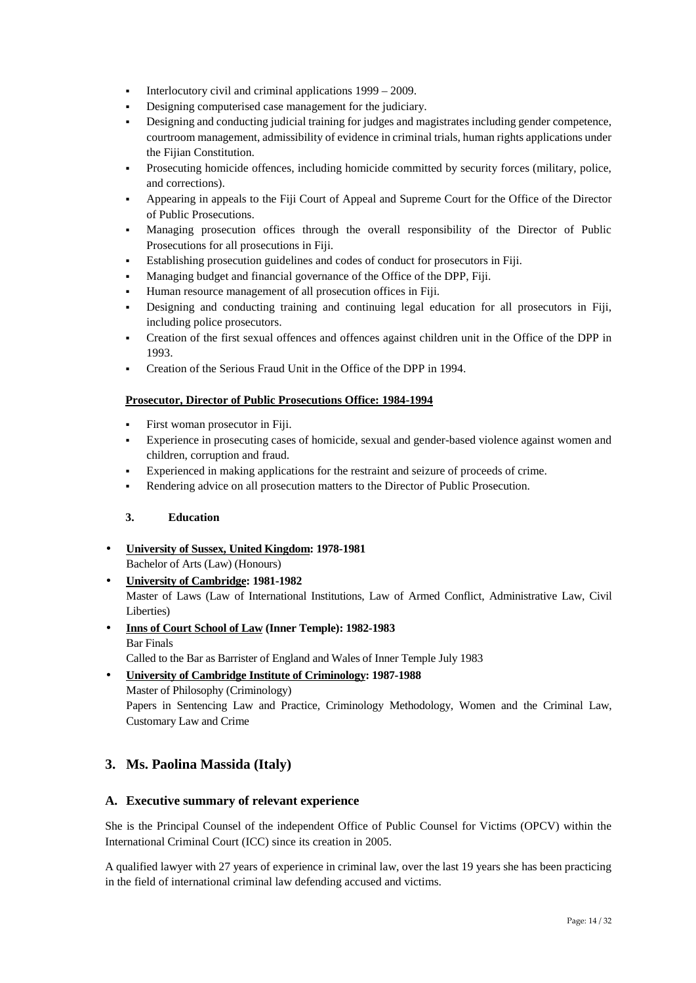- Interlocutory civil and criminal applications  $1999 2009$ .
- Designing computerised case management for the judiciary.
- Designing and conducting judicial training for judges and magistrates including gender competence, courtroom management, admissibility of evidence in criminal trials, human rights applications under the Fijian Constitution.
- Prosecuting homicide offences, including homicide committed by security forces (military, police, and corrections).
- Appearing in appeals to the Fiji Court of Appeal and Supreme Court for the Office of the Director of Public Prosecutions.
- Managing prosecution offices through the overall responsibility of the Director of Public Prosecutions for all prosecutions in Fiji.
- Establishing prosecution guidelines and codes of conduct for prosecutors in Fiji.
- Managing budget and financial governance of the Office of the DPP, Fiji.
- Human resource management of all prosecution offices in Fiji.
- Designing and conducting training and continuing legal education for all prosecutors in Fiji, including police prosecutors.
- Creation of the first sexual offences and offences against children unit in the Office of the DPP in 1993.
- Creation of the Serious Fraud Unit in the Office of the DPP in 1994.

### **Prosecutor, Director of Public Prosecutions Office: 1984-1994**

- First woman prosecutor in Fiji.
- Experience in prosecuting cases of homicide, sexual and gender-based violence against women and children, corruption and fraud.
- Experienced in making applications for the restraint and seizure of proceeds of crime.
- Rendering advice on all prosecution matters to the Director of Public Prosecution.

### **3. Education**

- **University of Sussex, United Kingdom: 1978-1981**
	- Bachelor of Arts (Law) (Honours)
- **University of Cambridge: 1981-1982** Master of Laws (Law of International Institutions, Law of Armed Conflict, Administrative Law, Civil Liberties)
- **Inns of Court School of Law (Inner Temple): 1982-1983** Bar Finals

Called to the Bar as Barrister of England and Wales of Inner Temple July 1983

 **University of Cambridge Institute of Criminology: 1987-1988** Master of Philosophy (Criminology) Papers in Sentencing Law and Practice, Criminology Methodology, Women and the Criminal Law, Customary Law and Crime

# **3. Ms. Paolina Massida (Italy)**

### **A. Executive summary of relevant experience**

She is the Principal Counsel of the independent Office of Public Counsel for Victims (OPCV) within the International Criminal Court (ICC) since its creation in 2005.

A qualified lawyer with 27 years of experience in criminal law, over the last 19 years she has been practicing in the field of international criminal law defending accused and victims.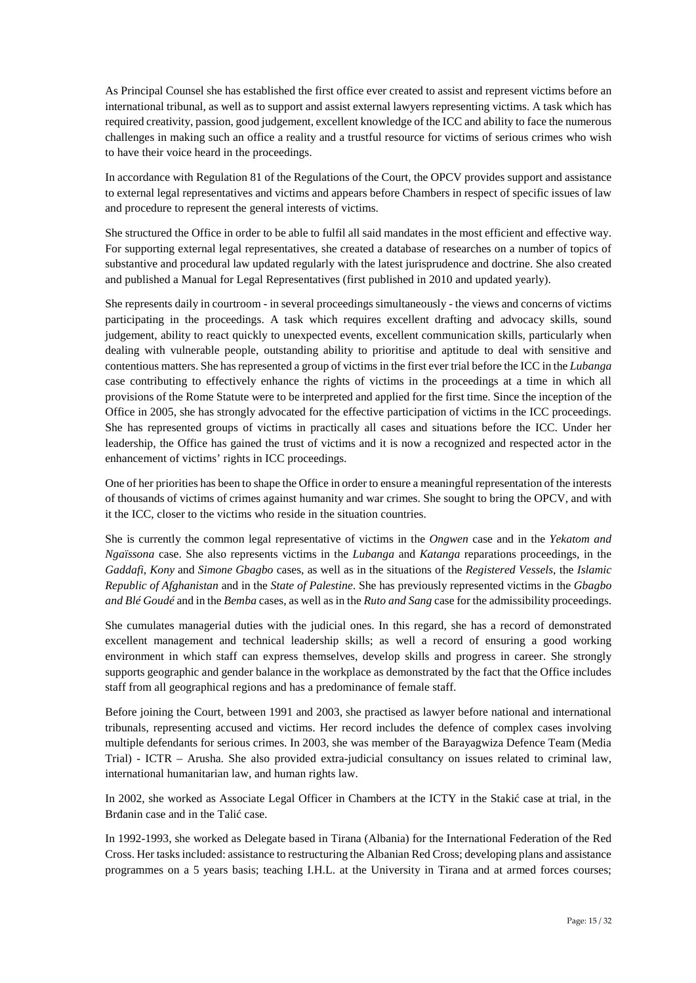As Principal Counsel she has established the first office ever created to assist and represent victims before an international tribunal, as well as to support and assist external lawyers representing victims. A task which has required creativity, passion, good judgement, excellent knowledge of the ICC and ability to face the numerous challenges in making such an office a reality and a trustful resource for victims of serious crimes who wish to have their voice heard in the proceedings.

In accordance with Regulation 81 of the Regulations of the Court, the OPCV provides support and assistance to external legal representatives and victims and appears before Chambers in respect of specific issues of law and procedure to represent the general interests of victims.

She structured the Office in order to be able to fulfil all said mandates in the most efficient and effective way. For supporting external legal representatives, she created a database of researches on a number of topics of substantive and procedural law updated regularly with the latest jurisprudence and doctrine. She also created and published a Manual for Legal Representatives (first published in 2010 and updated yearly).

She represents daily in courtroom - in several proceedings simultaneously - the views and concerns of victims participating in the proceedings. A task which requires excellent drafting and advocacy skills, sound judgement, ability to react quickly to unexpected events, excellent communication skills, particularly when dealing with vulnerable people, outstanding ability to prioritise and aptitude to deal with sensitive and contentious matters. She has represented a group of victims in the first ever trial before the ICC in the *Lubanga* case contributing to effectively enhance the rights of victims in the proceedings at a time in which all provisions of the Rome Statute were to be interpreted and applied for the first time. Since the inception of the Office in 2005, she has strongly advocated for the effective participation of victims in the ICC proceedings. She has represented groups of victims in practically all cases and situations before the ICC. Under her leadership, the Office has gained the trust of victims and it is now a recognized and respected actor in the enhancement of victims' rights in ICC proceedings.

One of her priorities has been to shape the Office in order to ensure a meaningful representation of the interests of thousands of victims of crimes against humanity and war crimes. She sought to bring the OPCV, and with it the ICC, closer to the victims who reside in the situation countries.

She is currently the common legal representative of victims in the *Ongwen* case and in the *Yekatom and Ngaïssona* case. She also represents victims in the *Lubanga* and *Katanga* reparations proceedings, in the *Gaddafi*, *Kony* and *Simone Gbagbo* cases, as well as in the situations of the *Registered Vessels*, the *Islamic Republic of Afghanistan* and in the *State of Palestine*. She has previously represented victims in the *Gbagbo and Blé Goudé* and in the *Bemba* cases, as well as in the *Ruto and Sang* case for the admissibility proceedings.

She cumulates managerial duties with the judicial ones. In this regard, she has a record of demonstrated excellent management and technical leadership skills; as well a record of ensuring a good working environment in which staff can express themselves, develop skills and progress in career. She strongly supports geographic and gender balance in the workplace as demonstrated by the fact that the Office includes staff from all geographical regions and has a predominance of female staff.

Before joining the Court, between 1991 and 2003, she practised as lawyer before national and international tribunals, representing accused and victims. Her record includes the defence of complex cases involving multiple defendants for serious crimes. In 2003, she was member of the Barayagwiza Defence Team (Media Trial) - ICTR – Arusha. She also provided extra-judicial consultancy on issues related to criminal law, international humanitarian law, and human rights law.

In 2002, she worked as Associate Legal Officer in Chambers at the ICTY in the Staki case at trial, in the Br anin case and in the Tali case.

In 1992-1993, she worked as Delegate based in Tirana (Albania) for the International Federation of the Red Cross. Her tasks included: assistance to restructuring the Albanian Red Cross; developing plans and assistance programmes on a 5 years basis; teaching I.H.L. at the University in Tirana and at armed forces courses;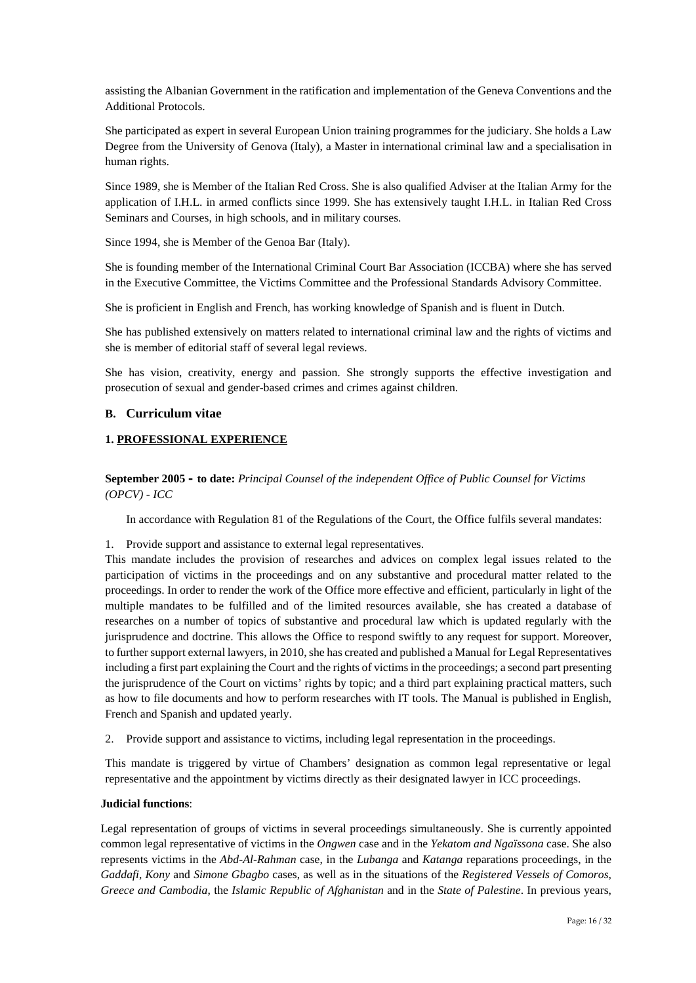assisting the Albanian Government in the ratification and implementation of the Geneva Conventions and the Additional Protocols.

She participated as expert in several European Union training programmes for the judiciary. She holds a Law Degree from the University of Genova (Italy), a Master in international criminal law and a specialisation in human rights.

Since 1989, she is Member of the Italian Red Cross. She is also qualified Adviser at the Italian Army for the application of I.H.L. in armed conflicts since 1999. She has extensively taught I.H.L. in Italian Red Cross Seminars and Courses, in high schools, and in military courses.

Since 1994, she is Member of the Genoa Bar (Italy).

She is founding member of the International Criminal Court Bar Association (ICCBA) where she has served in the Executive Committee, the Victims Committee and the Professional Standards Advisory Committee.

She is proficient in English and French, has working knowledge of Spanish and is fluent in Dutch.

She has published extensively on matters related to international criminal law and the rights of victims and she is member of editorial staff of several legal reviews.

She has vision, creativity, energy and passion. She strongly supports the effective investigation and prosecution of sexual and gender-based crimes and crimes against children.

#### **B. Curriculum vitae**

### **1. PROFESSIONAL EXPERIENCE**

**September 2005 – to date:** *Principal Counsel of the independent Office of Public Counsel for Victims (OPCV) - ICC*

In accordance with Regulation 81 of the Regulations of the Court, the Office fulfils several mandates:

1. Provide support and assistance to external legal representatives.

This mandate includes the provision of researches and advices on complex legal issues related to the participation of victims in the proceedings and on any substantive and procedural matter related to the proceedings. In order to render the work of the Office more effective and efficient, particularly in light of the multiple mandates to be fulfilled and of the limited resources available, she has created a database of researches on a number of topics of substantive and procedural law which is updated regularly with the jurisprudence and doctrine. This allows the Office to respond swiftly to any request for support. Moreover, to further support external lawyers, in 2010, she has created and published a Manual for Legal Representatives including a first part explaining the Court and the rights of victims in the proceedings; a second part presenting the jurisprudence of the Court on victims' rights by topic; and a third part explaining practical matters, such as how to file documents and how to perform researches with IT tools. The Manual is published in English, French and Spanish and updated yearly.

2. Provide support and assistance to victims, including legal representation in the proceedings.

This mandate is triggered by virtue of Chambers' designation as common legal representative or legal representative and the appointment by victims directly as their designated lawyer in ICC proceedings.

#### **Judicial functions**:

Legal representation of groups of victims in several proceedings simultaneously. She is currently appointed common legal representative of victims in the *Ongwen* case and in the *Yekatom and Ngaïssona* case. She also represents victims in the *Abd-Al-Rahman* case, in the *Lubanga* and *Katanga* reparations proceedings, in the *Gaddafi*, *Kony* and *Simone Gbagbo* cases, as well as in the situations of the *Registered Vessels of Comoros, Greece and Cambodia*, the *Islamic Republic of Afghanistan* and in the *State of Palestine*. In previous years,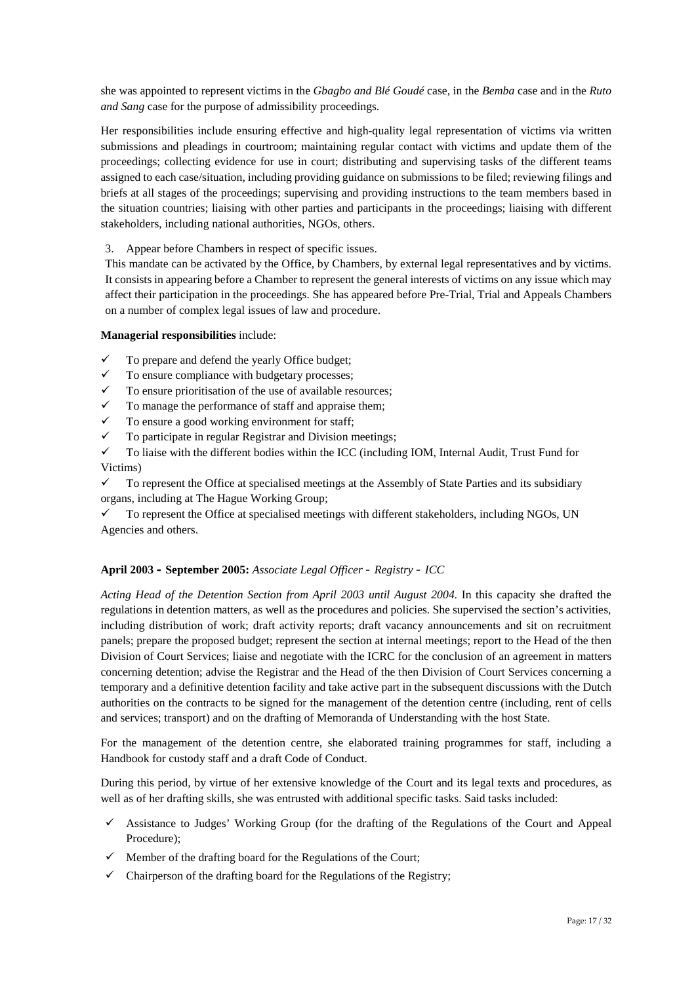she was appointed to represent victims in the *Gbagbo and Blé Goudé* case, in the *Bemba* case and in the *Ruto and Sang* case for the purpose of admissibility proceedings.

Her responsibilities include ensuring effective and high-quality legal representation of victims via written submissions and pleadings in courtroom; maintaining regular contact with victims and update them of the proceedings; collecting evidence for use in court; distributing and supervising tasks of the different teams assigned to each case/situation, including providing guidance on submissions to be filed; reviewing filings and briefs at all stages of the proceedings; supervising and providing instructions to the team members based in the situation countries; liaising with other parties and participants in the proceedings; liaising with different stakeholders, including national authorities, NGOs, others.

3. Appear before Chambers in respect of specific issues.

This mandate can be activated by the Office, by Chambers, by external legal representatives and by victims. It consists in appearing before a Chamber to represent the general interests of victims on any issue which may affect their participation in the proceedings. She has appeared before Pre-Trial, Trial and Appeals Chambers on a number of complex legal issues of law and procedure.

### **Managerial responsibilities** include:

- $\checkmark$  To prepare and defend the yearly Office budget;
- $\checkmark$  To ensure compliance with budgetary processes;
- $\checkmark$  To ensure prioritisation of the use of available resources;
- $\checkmark$  To manage the performance of staff and appraise them:
- $\checkmark$  To ensure a good working environment for staff;
- $\checkmark$  To participate in regular Registrar and Division meetings;

 $\checkmark$  To liaise with the different bodies within the ICC (including IOM, Internal Audit, Trust Fund for Victims)

 $\checkmark$  To represent the Office at specialised meetings at the Assembly of State Parties and its subsidiary organs, including at The Hague Working Group;

 To represent the Office at specialised meetings with different stakeholders, including NGOs, UN Agencies and others.

### **April 2003 – September 2005:** *Associate Legal Officer – Registry – ICC*

*Acting Head of the Detention Section from April 2003 until August 2004*. In this capacity she drafted the regulations in detention matters, as well as the procedures and policies. She supervised the section's activities, including distribution of work; draft activity reports; draft vacancy announcements and sit on recruitment panels; prepare the proposed budget; represent the section at internal meetings; report to the Head of the then Division of Court Services; liaise and negotiate with the ICRC for the conclusion of an agreement in matters concerning detention; advise the Registrar and the Head of the then Division of Court Services concerning a temporary and a definitive detention facility and take active part in the subsequent discussions with the Dutch authorities on the contracts to be signed for the management of the detention centre (including, rent of cells and services; transport) and on the drafting of Memoranda of Understanding with the host State.

For the management of the detention centre, she elaborated training programmes for staff, including a Handbook for custody staff and a draft Code of Conduct.

During this period, by virtue of her extensive knowledge of the Court and its legal texts and procedures, as well as of her drafting skills, she was entrusted with additional specific tasks. Said tasks included:

- Assistance to Judges' Working Group (for the drafting of the Regulations of the Court and Appeal Procedure);
- $\checkmark$  Member of the drafting board for the Regulations of the Court;
- $\checkmark$  Chairperson of the drafting board for the Regulations of the Registry;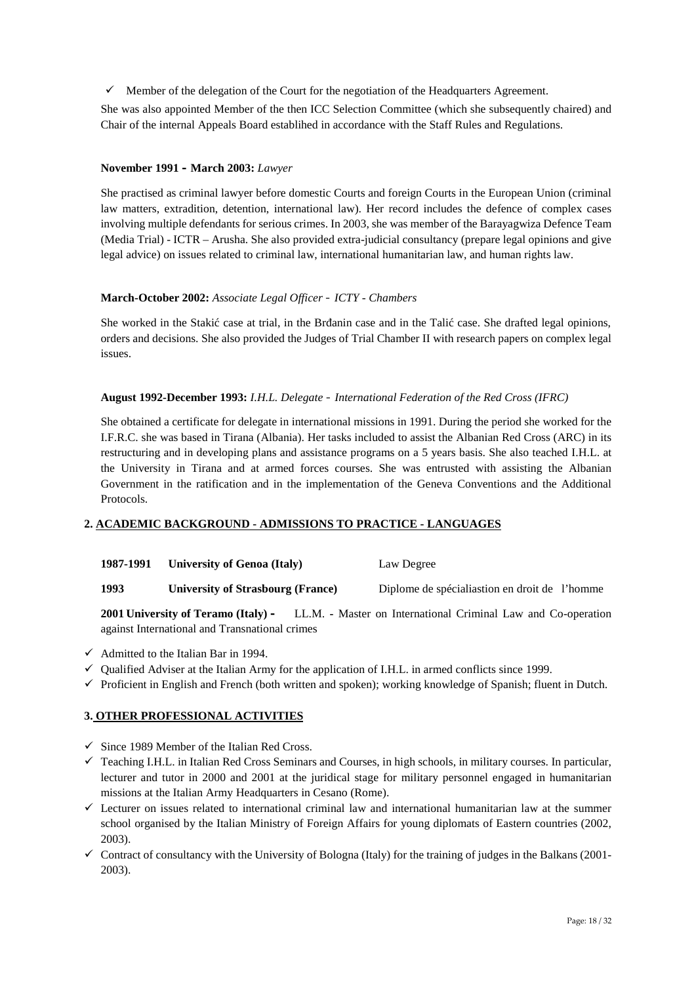$\checkmark$  Member of the delegation of the Court for the negotiation of the Headquarters Agreement.

She was also appointed Member of the then ICC Selection Committee (which she subsequently chaired) and Chair of the internal Appeals Board establihed in accordance with the Staff Rules and Regulations.

### **November 1991 – March 2003:** *Lawyer*

She practised as criminal lawyer before domestic Courts and foreign Courts in the European Union (criminal law matters, extradition, detention, international law). Her record includes the defence of complex cases involving multiple defendants for serious crimes. In 2003, she was member of the Barayagwiza Defence Team (Media Trial) - ICTR – Arusha. She also provided extra-judicial consultancy (prepare legal opinions and give legal advice) on issues related to criminal law, international humanitarian law, and human rights law.

### **March-October 2002:** *Associate Legal Officer – ICTY - Chambers*

She worked in the Staki case at trial, in the Br anin case and in the Tali case. She drafted legal opinions, orders and decisions. She also provided the Judges of Trial Chamber II with research papers on complex legal issues.

### **August 1992-December 1993:** *I.H.L. Delegate – International Federation of the Red Cross (IFRC)*

She obtained a certificate for delegate in international missions in 1991. During the period she worked for the I.F.R.C. she was based in Tirana (Albania). Her tasks included to assist the Albanian Red Cross (ARC) in its restructuring and in developing plans and assistance programs on a 5 years basis. She also teached I.H.L. at the University in Tirana and at armed forces courses. She was entrusted with assisting the Albanian Government in the ratification and in the implementation of the Geneva Conventions and the Additional Protocols.

### **2. ACADEMIC BACKGROUND - ADMISSIONS TO PRACTICE - LANGUAGES**

|  | 1987-1991 University of Genoa (Italy) | Law Degree |
|--|---------------------------------------|------------|
|--|---------------------------------------|------------|

**1993 University of Strasbourg (France)** Diplome de spécialiastion en droit de l'homme

**2001 University of Teramo (Italy) –** LL.M. **-** Master on International Criminal Law and Co-operation against International and Transnational crimes

- $\checkmark$  Admitted to the Italian Bar in 1994.
- $\checkmark$  Qualified Adviser at the Italian Army for the application of I.H.L. in armed conflicts since 1999.
- $\checkmark$  Proficient in English and French (both written and spoken); working knowledge of Spanish; fluent in Dutch.

### **3. OTHER PROFESSIONAL ACTIVITIES**

- $\checkmark$  Since 1989 Member of the Italian Red Cross.
- $\checkmark$  Teaching I.H.L. in Italian Red Cross Seminars and Courses, in high schools, in military courses. In particular, lecturer and tutor in 2000 and 2001 at the juridical stage for military personnel engaged in humanitarian missions at the Italian Army Headquarters in Cesano (Rome).
- $\checkmark$  Lecturer on issues related to international criminal law and international humanitarian law at the summer school organised by the Italian Ministry of Foreign Affairs for young diplomats of Eastern countries (2002, 2003).
- $\checkmark$  Contract of consultancy with the University of Bologna (Italy) for the training of judges in the Balkans (2001-2003).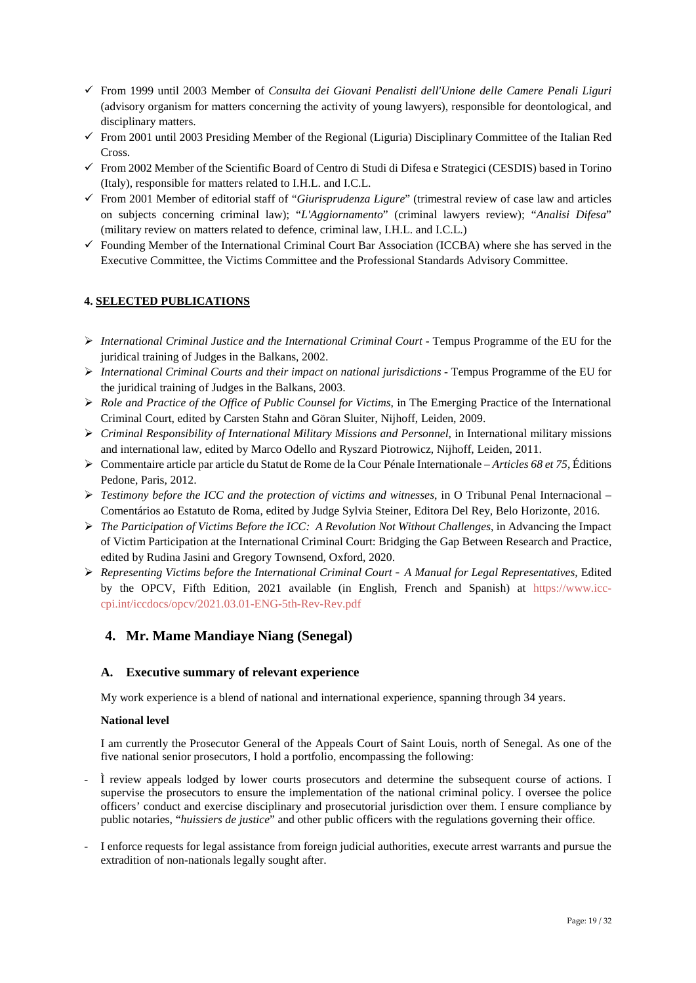- From 1999 until 2003 Member of *Consulta dei Giovani Penalisti dell'Unione delle Camere Penali Liguri* (advisory organism for matters concerning the activity of young lawyers), responsible for deontological, and disciplinary matters.
- $\checkmark$  From 2001 until 2003 Presiding Member of the Regional (Liguria) Disciplinary Committee of the Italian Red Cross.
- $\checkmark$  From 2002 Member of the Scientific Board of Centro di Studi di Difesa e Strategici (CESDIS) based in Torino (Italy), responsible for matters related to I.H.L. and I.C.L.
- From 2001 Member of editorial staff of "*Giurisprudenza Ligure*" (trimestral review of case law and articles on subjects concerning criminal law); "*L'Aggiornamento*" (criminal lawyers review); "*Analisi Difesa*" (military review on matters related to defence, criminal law, I.H.L. and I.C.L.)
- $\checkmark$  Founding Member of the International Criminal Court Bar Association (ICCBA) where she has served in the Executive Committee, the Victims Committee and the Professional Standards Advisory Committee.

### **4. SELECTED PUBLICATIONS**

- *International Criminal Justice and the International Criminal Court* Tempus Programme of the EU for the juridical training of Judges in the Balkans, 2002.
- *International Criminal Courts and their impact on national jurisdictions* Tempus Programme of the EU for the juridical training of Judges in the Balkans, 2003.
- *Role and Practice of the Office of Public Counsel for Victims*, in The Emerging Practice of the International Criminal Court, edited by Carsten Stahn and Göran Sluiter, Nijhoff, Leiden, 2009.
- *Criminal Responsibility of International Military Missions and Personnel,* in International military missions and international law, edited by Marco Odello and Ryszard Piotrowicz, Nijhoff, Leiden, 2011.
- Commentaire article par article du Statut de Rome de la Cour Pénale Internationale *Articles 68 et 75*, Éditions Pedone, Paris, 2012.
- *Testimony before the ICC and the protection of victims and witnesses*, in O Tribunal Penal Internacional Comentários ao Estatuto de Roma, edited by Judge Sylvia Steiner, Editora Del Rey, Belo Horizonte, 2016.
- *The Participation of Victims Before the ICC: A Revolution Not Without Challenges*, in Advancing the Impact of Victim Participation at the International Criminal Court: Bridging the Gap Between Research and Practice, edited by Rudina Jasini and Gregory Townsend, Oxford, 2020.
- *Representing Victims before the International Criminal Court – A Manual for Legal Representatives,* Edited by the OPCV, Fifth Edition, 2021 available (in English, French and Spanish) at https://www.icc cpi.int/iccdocs/opcv/2021.03.01-ENG-5th-Rev-Rev.pdf

### **4. Mr. Mame Mandiaye Niang (Senegal)**

### **A. Executive summary of relevant experience**

My work experience is a blend of national and international experience, spanning through 34 years.

### **National level**

I am currently the Prosecutor General of the Appeals Court of Saint Louis, north of Senegal. As one of the five national senior prosecutors, I hold a portfolio, encompassing the following:

- $\dot{I}$  review appeals lodged by lower courts prosecutors and determine the subsequent course of actions. I supervise the prosecutors to ensure the implementation of the national criminal policy. I oversee the police officers' conduct and exercise disciplinary and prosecutorial jurisdiction over them. I ensure compliance by public notaries, "*huissiers de justice*" and other public officers with the regulations governing their office.
- I enforce requests for legal assistance from foreign judicial authorities, execute arrest warrants and pursue the extradition of non-nationals legally sought after.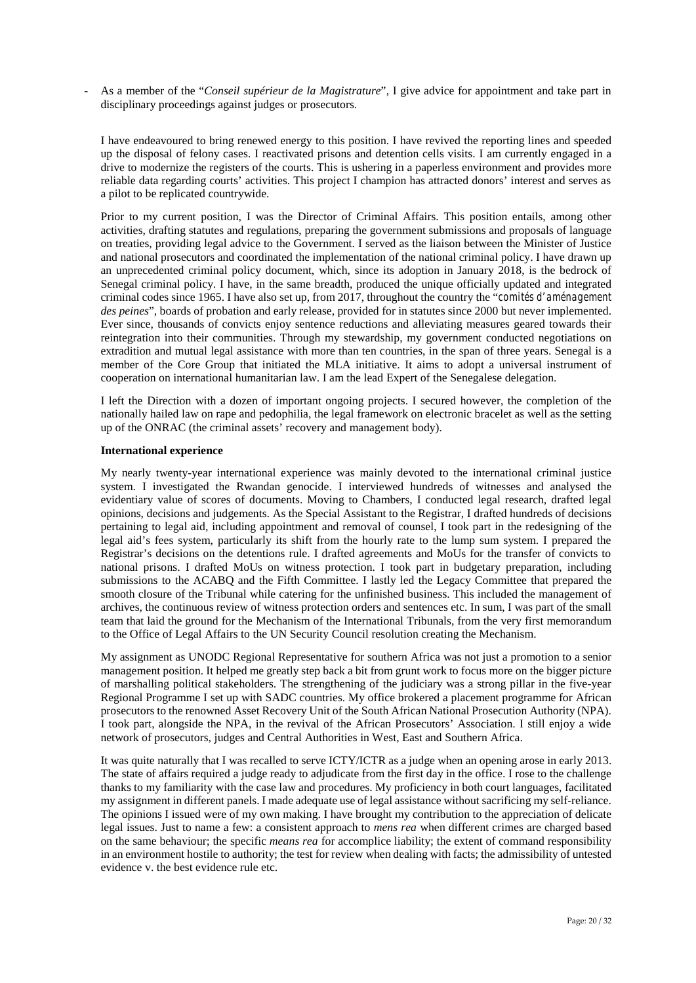- As a member of the "*Conseil supérieur de la Magistrature*", I give advice for appointment and take part in disciplinary proceedings against judges or prosecutors.

I have endeavoured to bring renewed energy to this position. I have revived the reporting lines and speeded up the disposal of felony cases. I reactivated prisons and detention cells visits. I am currently engaged in a drive to modernize the registers of the courts. This is ushering in a paperless environment and provides more reliable data regarding courts' activities. This project I champion has attracted donors' interest and serves as a pilot to be replicated countrywide.

Prior to my current position, I was the Director of Criminal Affairs. This position entails, among other activities, drafting statutes and regulations, preparing the government submissions and proposals of language on treaties, providing legal advice to the Government. I served as the liaison between the Minister of Justice and national prosecutors and coordinated the implementation of the national criminal policy. I have drawn up an unprecedented criminal policy document, which, since its adoption in January 2018, is the bedrock of Senegal criminal policy. I have, in the same breadth, produced the unique officially updated and integrated criminal codes since 1965. I have also set up, from 2017, throughout the country the "*comités d'aménagement des peines*", boards of probation and early release, provided for in statutes since 2000 but never implemented. Ever since, thousands of convicts enjoy sentence reductions and alleviating measures geared towards their reintegration into their communities. Through my stewardship, my government conducted negotiations on extradition and mutual legal assistance with more than ten countries, in the span of three years. Senegal is a member of the Core Group that initiated the MLA initiative. It aims to adopt a universal instrument of cooperation on international humanitarian law. I am the lead Expert of the Senegalese delegation.

I left the Direction with a dozen of important ongoing projects. I secured however, the completion of the nationally hailed law on rape and pedophilia, the legal framework on electronic bracelet as well as the setting up of the ONRAC (the criminal assets' recovery and management body).

#### **International experience**

My nearly twenty-year international experience was mainly devoted to the international criminal justice system. I investigated the Rwandan genocide. I interviewed hundreds of witnesses and analysed the evidentiary value of scores of documents. Moving to Chambers, I conducted legal research, drafted legal opinions, decisions and judgements. As the Special Assistant to the Registrar, I drafted hundreds of decisions pertaining to legal aid, including appointment and removal of counsel, I took part in the redesigning of the legal aid's fees system, particularly its shift from the hourly rate to the lump sum system. I prepared the Registrar's decisions on the detentions rule. I drafted agreements and MoUs for the transfer of convicts to national prisons. I drafted MoUs on witness protection. I took part in budgetary preparation, including submissions to the ACABQ and the Fifth Committee. I lastly led the Legacy Committee that prepared the smooth closure of the Tribunal while catering for the unfinished business. This included the management of archives, the continuous review of witness protection orders and sentences etc. In sum, I was part of the small team that laid the ground for the Mechanism of the International Tribunals, from the very first memorandum to the Office of Legal Affairs to the UN Security Council resolution creating the Mechanism.

My assignment as UNODC Regional Representative for southern Africa was not just a promotion to a senior management position. It helped me greatly step back a bit from grunt work to focus more on the bigger picture of marshalling political stakeholders. The strengthening of the judiciary was a strong pillar in the five-year Regional Programme I set up with SADC countries. My office brokered a placement programme for African prosecutors to the renowned Asset Recovery Unit of the South African National Prosecution Authority (NPA). I took part, alongside the NPA, in the revival of the African Prosecutors' Association. I still enjoy a wide network of prosecutors, judges and Central Authorities in West, East and Southern Africa.

It was quite naturally that I was recalled to serve ICTY/ICTR as a judge when an opening arose in early 2013. The state of affairs required a judge ready to adjudicate from the first day in the office. I rose to the challenge thanks to my familiarity with the case law and procedures. My proficiency in both court languages, facilitated my assignment in different panels. I made adequate use of legal assistance without sacrificing my self-reliance. The opinions I issued were of my own making. I have brought my contribution to the appreciation of delicate legal issues. Just to name a few: a consistent approach to *mens rea* when different crimes are charged based on the same behaviour; the specific *means rea* for accomplice liability; the extent of command responsibility in an environment hostile to authority; the test for review when dealing with facts; the admissibility of untested evidence v. the best evidence rule etc.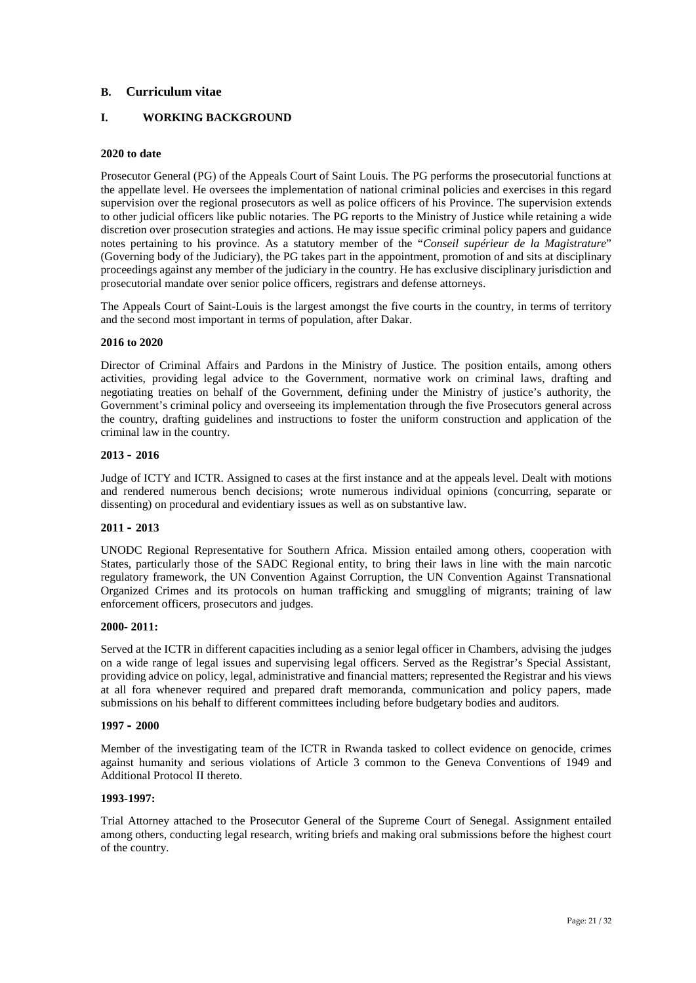### **B. Curriculum vitae**

### **I. WORKING BACKGROUND**

### **2020 to date**

Prosecutor General (PG) of the Appeals Court of Saint Louis. The PG performs the prosecutorial functions at the appellate level. He oversees the implementation of national criminal policies and exercises in this regard supervision over the regional prosecutors as well as police officers of his Province. The supervision extends to other judicial officers like public notaries. The PG reports to the Ministry of Justice while retaining a wide discretion over prosecution strategies and actions. He may issue specific criminal policy papers and guidance notes pertaining to his province. As a statutory member of the "*Conseil supérieur de la Magistrature*" (Governing body of the Judiciary), the PG takes part in the appointment, promotion of and sits at disciplinary proceedings against any member of the judiciary in the country. He has exclusive disciplinary jurisdiction and prosecutorial mandate over senior police officers, registrars and defense attorneys.

The Appeals Court of Saint-Louis is the largest amongst the five courts in the country, in terms of territory and the second most important in terms of population, after Dakar.

#### **2016 to 2020**

Director of Criminal Affairs and Pardons in the Ministry of Justice. The position entails, among others activities, providing legal advice to the Government, normative work on criminal laws, drafting and negotiating treaties on behalf of the Government, defining under the Ministry of justice's authority, the Government's criminal policy and overseeing its implementation through the five Prosecutors general across the country, drafting guidelines and instructions to foster the uniform construction and application of the criminal law in the country.

#### **2013 – 2016**

Judge of ICTY and ICTR. Assigned to cases at the first instance and at the appeals level. Dealt with motions and rendered numerous bench decisions; wrote numerous individual opinions (concurring, separate or dissenting) on procedural and evidentiary issues as well as on substantive law.

#### **2011 – 2013**

UNODC Regional Representative for Southern Africa. Mission entailed among others, cooperation with States, particularly those of the SADC Regional entity, to bring their laws in line with the main narcotic regulatory framework, the UN Convention Against Corruption, the UN Convention Against Transnational Organized Crimes and its protocols on human trafficking and smuggling of migrants; training of law enforcement officers, prosecutors and judges.

#### **2000- 2011:**

Served at the ICTR in different capacities including as a senior legal officer in Chambers, advising the judges on a wide range of legal issues and supervising legal officers. Served as the Registrar's Special Assistant, providing advice on policy, legal, administrative and financial matters; represented the Registrar and his views at all fora whenever required and prepared draft memoranda, communication and policy papers, made submissions on his behalf to different committees including before budgetary bodies and auditors.

#### **1997 – 2000**

Member of the investigating team of the ICTR in Rwanda tasked to collect evidence on genocide, crimes against humanity and serious violations of Article 3 common to the Geneva Conventions of 1949 and Additional Protocol II thereto.

#### **1993-1997:**

Trial Attorney attached to the Prosecutor General of the Supreme Court of Senegal. Assignment entailed among others, conducting legal research, writing briefs and making oral submissions before the highest court of the country.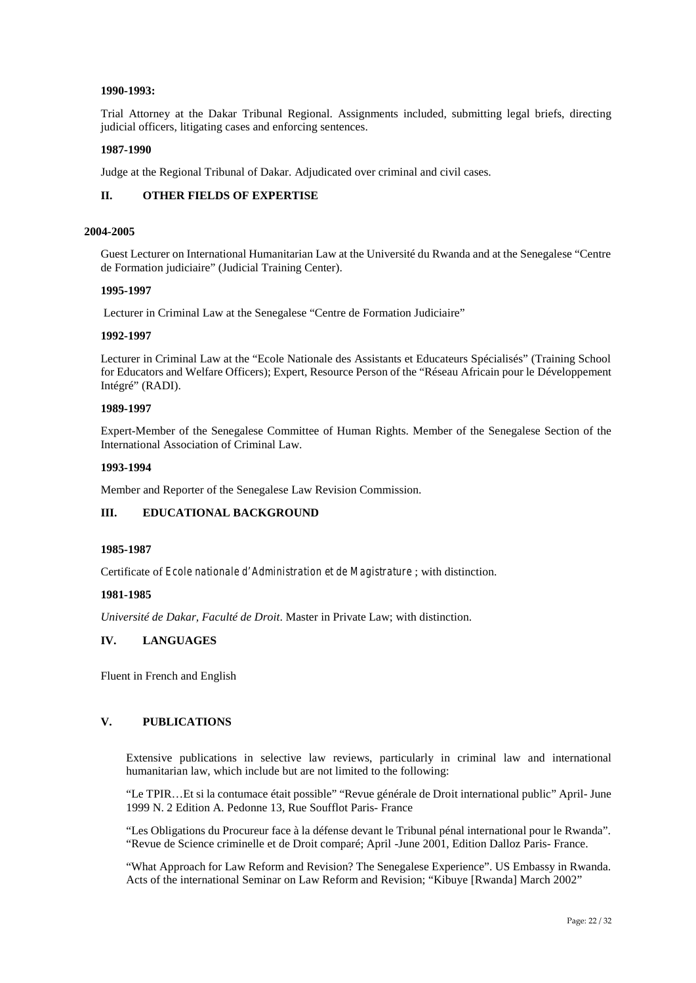#### **1990-1993:**

Trial Attorney at the Dakar Tribunal Regional. Assignments included, submitting legal briefs, directing judicial officers, litigating cases and enforcing sentences.

#### **1987-1990**

Judge at the Regional Tribunal of Dakar. Adjudicated over criminal and civil cases.

### **II. OTHER FIELDS OF EXPERTISE**

#### **2004-2005**

Guest Lecturer on International Humanitarian Law at the Université du Rwanda and at the Senegalese "Centre de Formation judiciaire" (Judicial Training Center).

#### **1995-1997**

Lecturer in Criminal Law at the Senegalese "Centre de Formation Judiciaire"

#### **1992-1997**

Lecturer in Criminal Law at the "Ecole Nationale des Assistants et Educateurs Spécialisés" (Training School for Educators and Welfare Officers); Expert, Resource Person of the "Réseau Africain pour le Développement Intégré" (RADI).

### **1989-1997**

Expert-Member of the Senegalese Committee of Human Rights. Member of the Senegalese Section of the International Association of Criminal Law.

### **1993-1994**

Member and Reporter of the Senegalese Law Revision Commission.

### **III. EDUCATIONAL BACKGROUND**

#### **1985-1987**

Certificate of *Ecole nationale d'Administration et de Magistrature* ; with distinction.

#### **1981-1985**

*Université de Dakar, Faculté de Droit*. Master in Private Law; with distinction.

#### **IV. LANGUAGES**

Fluent in French and English

### **V. PUBLICATIONS**

Extensive publications in selective law reviews, particularly in criminal law and international humanitarian law, which include but are not limited to the following:

"Le TPIR…Et si la contumace était possible" "Revue générale de Droit international public" April- June 1999 N. 2 Edition A. Pedonne 13, Rue Soufflot Paris- France

"Les Obligations du Procureur face à la défense devant le Tribunal pénal international pour le Rwanda". "Revue de Science criminelle et de Droit comparé; April -June 2001, Edition Dalloz Paris- France.

"What Approach for Law Reform and Revision? The Senegalese Experience". US Embassy in Rwanda. Acts of the international Seminar on Law Reform and Revision; "Kibuye [Rwanda] March 2002"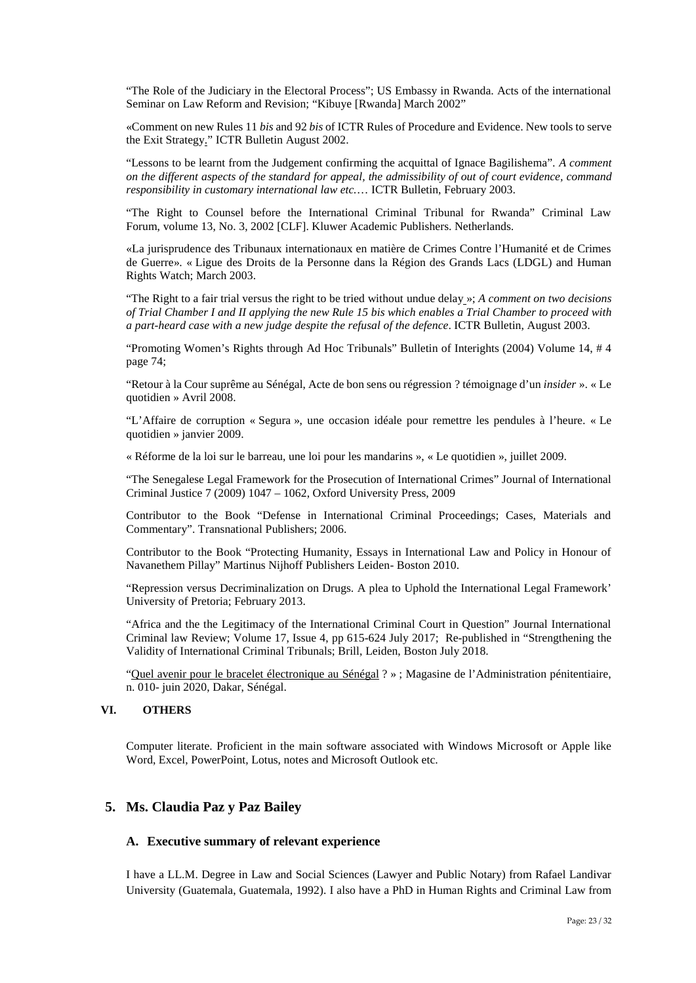"The Role of the Judiciary in the Electoral Process"; US Embassy in Rwanda. Acts of the international Seminar on Law Reform and Revision; "Kibuye [Rwanda] March 2002"

«Comment on new Rules 11 *bis* and 92 *bis* of ICTR Rules of Procedure and Evidence. New tools to serve the Exit Strategy." ICTR Bulletin August 2002.

"Lessons to be learnt from the Judgement confirming the acquittal of Ignace Bagilishema". *A comment on the different aspects of the standard for appeal, the admissibility of out of court evidence, command responsibility in customary international law etc.*… ICTR Bulletin, February 2003.

"The Right to Counsel before the International Criminal Tribunal for Rwanda" Criminal Law Forum, volume 13, No. 3, 2002 [CLF]. Kluwer Academic Publishers. Netherlands.

«La jurisprudence des Tribunaux internationaux en matière de Crimes Contre l'Humanité et de Crimes de Guerre». « Ligue des Droits de la Personne dans la Région des Grands Lacs (LDGL) and Human Rights Watch; March 2003.

"The Right to a fair trial versus the right to be tried without undue delay »; *A comment on two decisions of Trial Chamber I and II applying the new Rule 15 bis which enables a Trial Chamber to proceed with a part-heard case with a new judge despite the refusal of the defence*. ICTR Bulletin, August 2003.

"Promoting Women's Rights through Ad Hoc Tribunals" Bulletin of Interights (2004) Volume 14, # 4 page 74;

"Retour à la Cour suprême au Sénégal, Acte de bon sens ou régression ? témoignage d'un *insider* ». « Le quotidien » Avril 2008.

"L'Affaire de corruption « Segura », une occasion idéale pour remettre les pendules à l'heure. « Le quotidien » janvier 2009.

« Réforme de la loi sur le barreau, une loi pour les mandarins », « Le quotidien », juillet 2009.

"The Senegalese Legal Framework for the Prosecution of International Crimes" Journal of International Criminal Justice 7 (2009) 1047 – 1062, Oxford University Press, 2009

Contributor to the Book "Defense in International Criminal Proceedings; Cases, Materials and Commentary". Transnational Publishers; 2006.

Contributor to the Book "Protecting Humanity, Essays in International Law and Policy in Honour of Navanethem Pillay" Martinus Nijhoff Publishers Leiden- Boston 2010.

"Repression versus Decriminalization on Drugs. A plea to Uphold the International Legal Framework' University of Pretoria; February 2013.

"Africa and the the Legitimacy of the International Criminal Court in Question" Journal International Criminal law Review; Volume 17, Issue 4, pp 615-624 July 2017; Re-published in "Strengthening the Validity of International Criminal Tribunals; Brill, Leiden, Boston July 2018.

"Quel avenir pour le bracelet électronique au Sénégal ? » ; Magasine de l'Administration pénitentiaire, n. 010- juin 2020, Dakar, Sénégal.

### **VI. OTHERS**

Computer literate. Proficient in the main software associated with Windows Microsoft or Apple like Word, Excel, PowerPoint, Lotus, notes and Microsoft Outlook etc.

### **5. Ms. Claudia Paz y Paz Bailey**

#### **A. Executive summary of relevant experience**

I have a LL.M. Degree in Law and Social Sciences (Lawyer and Public Notary) from Rafael Landivar University (Guatemala, Guatemala, 1992). I also have a PhD in Human Rights and Criminal Law from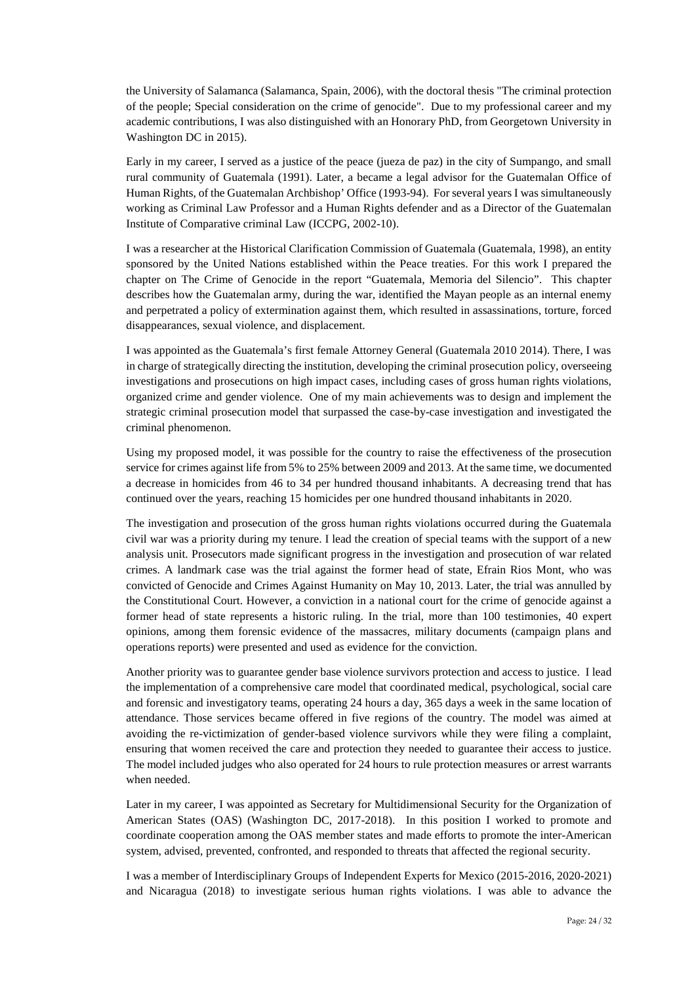the University of Salamanca (Salamanca, Spain, 2006), with the doctoral thesis "The criminal protection of the people; Special consideration on the crime of genocide". Due to my professional career and my academic contributions, I was also distinguished with an Honorary PhD, from Georgetown University in Washington DC in 2015).

Early in my career, I served as a justice of the peace (jueza de paz) in the city of Sumpango, and small rural community of Guatemala (1991). Later, a became a legal advisor for the Guatemalan Office of Human Rights, of the Guatemalan Archbishop' Office (1993-94). For several years I was simultaneously working as Criminal Law Professor and a Human Rights defender and as a Director of the Guatemalan Institute of Comparative criminal Law (ICCPG, 2002-10).

I was a researcher at the Historical Clarification Commission of Guatemala (Guatemala, 1998), an entity sponsored by the United Nations established within the Peace treaties. For this work I prepared the chapter on The Crime of Genocide in the report "Guatemala, Memoria del Silencio". This chapter describes how the Guatemalan army, during the war, identified the Mayan people as an internal enemy and perpetrated a policy of extermination against them, which resulted in assassinations, torture, forced disappearances, sexual violence, and displacement.

I was appointed as the Guatemala's first female Attorney General (Guatemala 2010 2014). There, I was in charge of strategically directing the institution, developing the criminal prosecution policy, overseeing investigations and prosecutions on high impact cases, including cases of gross human rights violations, organized crime and gender violence. One of my main achievements was to design and implement the strategic criminal prosecution model that surpassed the case-by-case investigation and investigated the criminal phenomenon.

Using my proposed model, it was possible for the country to raise the effectiveness of the prosecution service for crimes against life from 5% to 25% between 2009 and 2013. At the same time, we documented a decrease in homicides from 46 to 34 per hundred thousand inhabitants. A decreasing trend that has continued over the years, reaching 15 homicides per one hundred thousand inhabitants in 2020.

The investigation and prosecution of the gross human rights violations occurred during the Guatemala civil war was a priority during my tenure. I lead the creation of special teams with the support of a new analysis unit. Prosecutors made significant progress in the investigation and prosecution of war related crimes. A landmark case was the trial against the former head of state, Efrain Rios Mont, who was convicted of Genocide and Crimes Against Humanity on May 10, 2013. Later, the trial was annulled by the Constitutional Court. However, a conviction in a national court for the crime of genocide against a former head of state represents a historic ruling. In the trial, more than 100 testimonies, 40 expert opinions, among them forensic evidence of the massacres, military documents (campaign plans and operations reports) were presented and used as evidence for the conviction.

Another priority was to guarantee gender base violence survivors protection and access to justice. I lead the implementation of a comprehensive care model that coordinated medical, psychological, social care and forensic and investigatory teams, operating 24 hours a day, 365 days a week in the same location of attendance. Those services became offered in five regions of the country. The model was aimed at avoiding the re-victimization of gender-based violence survivors while they were filing a complaint, ensuring that women received the care and protection they needed to guarantee their access to justice. The model included judges who also operated for 24 hours to rule protection measures or arrest warrants when needed.

Later in my career, I was appointed as Secretary for Multidimensional Security for the Organization of American States (OAS) (Washington DC, 2017-2018). In this position I worked to promote and coordinate cooperation among the OAS member states and made efforts to promote the inter-American system, advised, prevented, confronted, and responded to threats that affected the regional security.

I was a member of Interdisciplinary Groups of Independent Experts for Mexico (2015-2016, 2020-2021) and Nicaragua (2018) to investigate serious human rights violations. I was able to advance the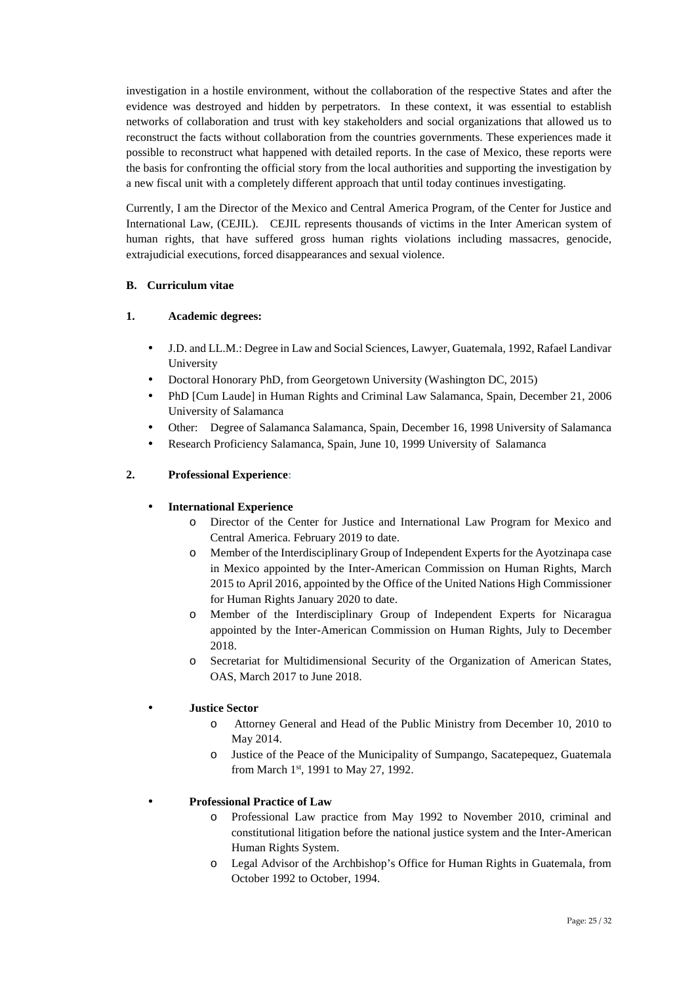investigation in a hostile environment, without the collaboration of the respective States and after the evidence was destroyed and hidden by perpetrators. In these context, it was essential to establish networks of collaboration and trust with key stakeholders and social organizations that allowed us to reconstruct the facts without collaboration from the countries governments. These experiences made it possible to reconstruct what happened with detailed reports. In the case of Mexico, these reports were the basis for confronting the official story from the local authorities and supporting the investigation by a new fiscal unit with a completely different approach that until today continues investigating.

Currently, I am the Director of the Mexico and Central America Program, of the Center for Justice and International Law, (CEJIL). CEJIL represents thousands of victims in the Inter American system of human rights, that have suffered gross human rights violations including massacres, genocide, extrajudicial executions, forced disappearances and sexual violence.

### **B. Curriculum vitae**

### **1. Academic degrees:**

- J.D. and LL.M.: Degree in Law and Social Sciences, Lawyer, Guatemala, 1992, Rafael Landivar University
- Doctoral Honorary PhD, from Georgetown University (Washington DC, 2015)
- PhD [Cum Laude] in Human Rights and Criminal Law Salamanca, Spain, December 21, 2006 University of Salamanca
- Other: Degree of Salamanca Salamanca, Spain, December 16, 1998 University of Salamanca
- Research Proficiency Salamanca, Spain, June 10, 1999 University of Salamanca

### **2. Professional Experience:**

### **International Experience**

- o Director of the Center for Justice and International Law Program for Mexico and Central America. February 2019 to date.
- o Member of the Interdisciplinary Group of Independent Experts for the Ayotzinapa case in Mexico appointed by the Inter-American Commission on Human Rights, March 2015 to April 2016, appointed by the Office of the United Nations High Commissioner for Human Rights January 2020 to date.
- o Member of the Interdisciplinary Group of Independent Experts for Nicaragua appointed by the Inter-American Commission on Human Rights, July to December 2018.
- o Secretariat for Multidimensional Security of the Organization of American States, OAS, March 2017 to June 2018.

### **Justice Sector**

- o Attorney General and Head of the Public Ministry from December 10, 2010 to May 2014.
- o Justice of the Peace of the Municipality of Sumpango, Sacatepequez, Guatemala from March 1st, 1991 to May 27, 1992.

### **Professional Practice of Law**

- o Professional Law practice from May 1992 to November 2010, criminal and constitutional litigation before the national justice system and the Inter-American Human Rights System.
- o Legal Advisor of the Archbishop's Office for Human Rights in Guatemala, from October 1992 to October, 1994.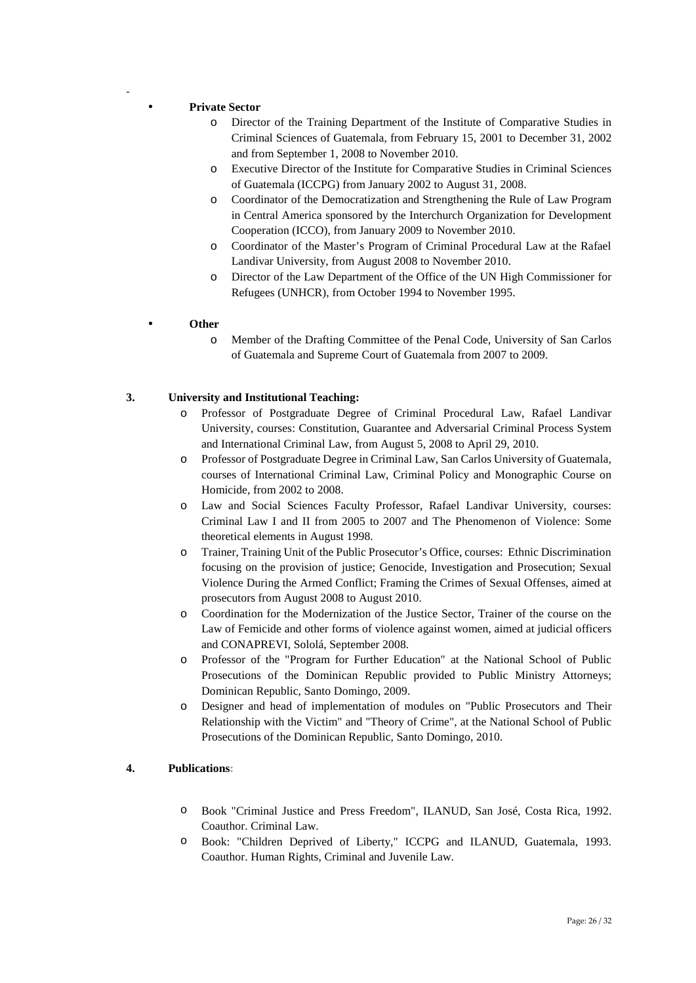### **Private Sector**

-

- o Director of the Training Department of the Institute of Comparative Studies in Criminal Sciences of Guatemala, from February 15, 2001 to December 31, 2002 and from September 1, 2008 to November 2010.
- o Executive Director of the Institute for Comparative Studies in Criminal Sciences of Guatemala (ICCPG) from January 2002 to August 31, 2008.
- o Coordinator of the Democratization and Strengthening the Rule of Law Program in Central America sponsored by the Interchurch Organization for Development Cooperation (ICCO), from January 2009 to November 2010.
- o Coordinator of the Master's Program of Criminal Procedural Law at the Rafael Landivar University, from August 2008 to November 2010.
- o Director of the Law Department of the Office of the UN High Commissioner for Refugees (UNHCR), from October 1994 to November 1995.

### **Other**

o Member of the Drafting Committee of the Penal Code, University of San Carlos of Guatemala and Supreme Court of Guatemala from 2007 to 2009.

### **3. University and Institutional Teaching:**

- o Professor of Postgraduate Degree of Criminal Procedural Law, Rafael Landivar University, courses: Constitution, Guarantee and Adversarial Criminal Process System and International Criminal Law, from August 5, 2008 to April 29, 2010.
- o Professor of Postgraduate Degree in Criminal Law, San Carlos University of Guatemala, courses of International Criminal Law, Criminal Policy and Monographic Course on Homicide, from 2002 to 2008.
- o Law and Social Sciences Faculty Professor, Rafael Landivar University, courses: Criminal Law I and II from 2005 to 2007 and The Phenomenon of Violence: Some theoretical elements in August 1998.
- o Trainer, Training Unit of the Public Prosecutor's Office, courses: Ethnic Discrimination focusing on the provision of justice; Genocide, Investigation and Prosecution; Sexual Violence During the Armed Conflict; Framing the Crimes of Sexual Offenses, aimed at prosecutors from August 2008 to August 2010.
- o Coordination for the Modernization of the Justice Sector, Trainer of the course on the Law of Femicide and other forms of violence against women, aimed at judicial officers and CONAPREVI, Sololá, September 2008.
- o Professor of the "Program for Further Education" at the National School of Public Prosecutions of the Dominican Republic provided to Public Ministry Attorneys; Dominican Republic, Santo Domingo, 2009.
- o Designer and head of implementation of modules on "Public Prosecutors and Their Relationship with the Victim" and "Theory of Crime", at the National School of Public Prosecutions of the Dominican Republic, Santo Domingo, 2010.

### **4. Publications:**

- o Book "Criminal Justice and Press Freedom", ILANUD, San José, Costa Rica, 1992. Coauthor. Criminal Law.
- o Book: "Children Deprived of Liberty," ICCPG and ILANUD, Guatemala, 1993. Coauthor. Human Rights, Criminal and Juvenile Law.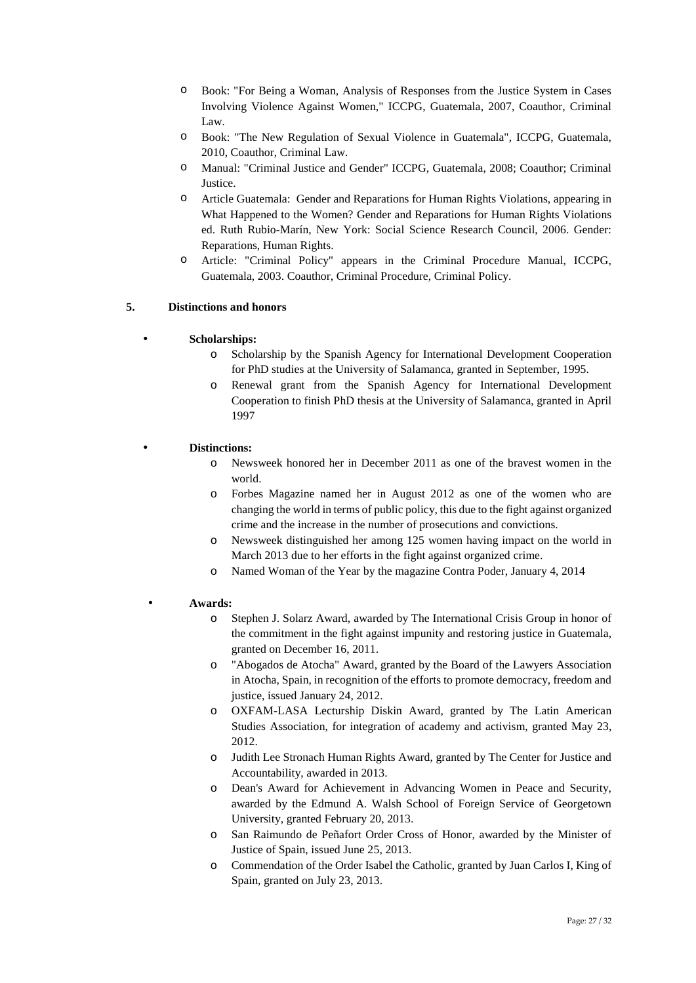- o Book: "For Being a Woman, Analysis of Responses from the Justice System in Cases Involving Violence Against Women," ICCPG, Guatemala, 2007, Coauthor, Criminal Law.
- o Book: "The New Regulation of Sexual Violence in Guatemala", ICCPG, Guatemala, 2010, Coauthor, Criminal Law.
- o Manual: "Criminal Justice and Gender" ICCPG, Guatemala, 2008; Coauthor; Criminal *<u>Iustice</u>*
- o Article Guatemala: Gender and Reparations for Human Rights Violations, appearing in What Happened to the Women? Gender and Reparations for Human Rights Violations ed. Ruth Rubio-Marín, New York: Social Science Research Council, 2006. Gender: Reparations, Human Rights.
- o Article: "Criminal Policy" appears in the Criminal Procedure Manual, ICCPG, Guatemala, 2003. Coauthor, Criminal Procedure, Criminal Policy.

### **5. Distinctions and honors**

### **Scholarships:**

- o Scholarship by the Spanish Agency for International Development Cooperation for PhD studies at the University of Salamanca, granted in September, 1995.
- o Renewal grant from the Spanish Agency for International Development Cooperation to finish PhD thesis at the University of Salamanca, granted in April 1997

### **Distinctions:**

- o Newsweek honored her in December 2011 as one of the bravest women in the world.
- o Forbes Magazine named her in August 2012 as one of the women who are changing the world in terms of public policy, this due to the fight against organized crime and the increase in the number of prosecutions and convictions.
- o Newsweek distinguished her among 125 women having impact on the world in March 2013 due to her efforts in the fight against organized crime.
- o Named Woman of the Year by the magazine Contra Poder, January 4, 2014

### **Awards:**

- o Stephen J. Solarz Award, awarded by The International Crisis Group in honor of the commitment in the fight against impunity and restoring justice in Guatemala, granted on December 16, 2011.
- o "Abogados de Atocha" Award, granted by the Board of the Lawyers Association in Atocha, Spain, in recognition of the efforts to promote democracy, freedom and justice, issued January 24, 2012.
- o OXFAM-LASA Lecturship Diskin Award, granted by The Latin American Studies Association, for integration of academy and activism, granted May 23, 2012.
- o Judith Lee Stronach Human Rights Award, granted by The Center for Justice and Accountability, awarded in 2013.
- o Dean's Award for Achievement in Advancing Women in Peace and Security, awarded by the Edmund A. Walsh School of Foreign Service of Georgetown University, granted February 20, 2013.
- o San Raimundo de Peñafort Order Cross of Honor, awarded by the Minister of Justice of Spain, issued June 25, 2013.
- o Commendation of the Order Isabel the Catholic, granted by Juan Carlos I, King of Spain, granted on July 23, 2013.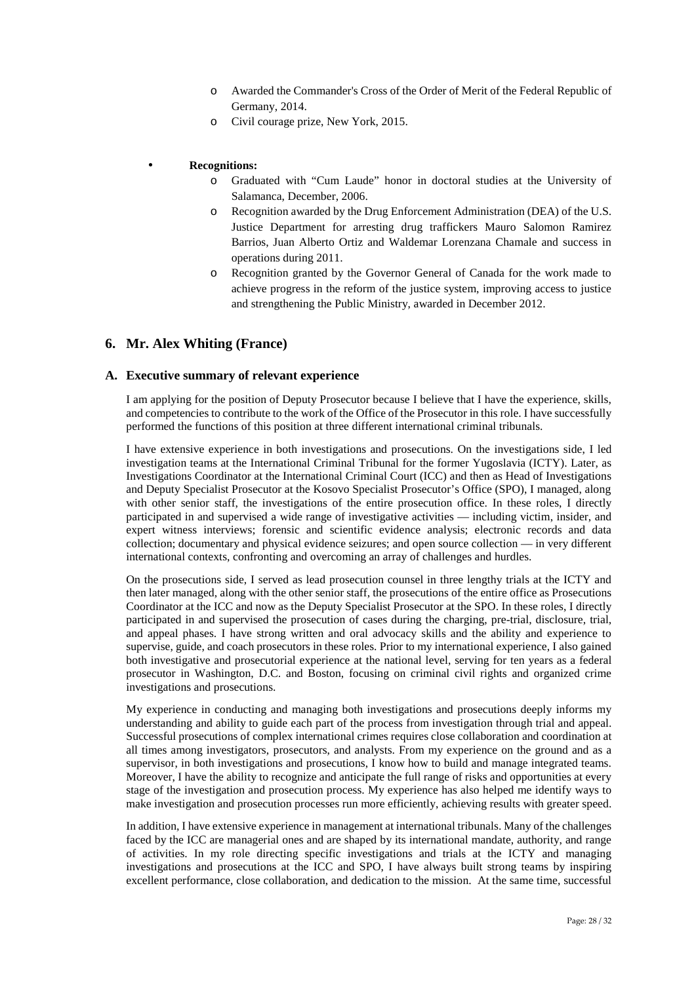- o Awarded the Commander's Cross of the Order of Merit of the Federal Republic of Germany, 2014.
- o Civil courage prize, New York, 2015.

### **Recognitions:**

- o Graduated with "Cum Laude" honor in doctoral studies at the University of Salamanca, December, 2006.
- o Recognition awarded by the Drug Enforcement Administration (DEA) of the U.S. Justice Department for arresting drug traffickers Mauro Salomon Ramirez Barrios, Juan Alberto Ortiz and Waldemar Lorenzana Chamale and success in operations during 2011.
- o Recognition granted by the Governor General of Canada for the work made to achieve progress in the reform of the justice system, improving access to justice and strengthening the Public Ministry, awarded in December 2012.

### **6. Mr. Alex Whiting (France)**

#### **A. Executive summary of relevant experience**

I am applying for the position of Deputy Prosecutor because I believe that I have the experience, skills, and competencies to contribute to the work of the Office of the Prosecutor in this role. I have successfully performed the functions of this position at three different international criminal tribunals.

I have extensive experience in both investigations and prosecutions. On the investigations side, I led investigation teams at the International Criminal Tribunal for the former Yugoslavia (ICTY). Later, as Investigations Coordinator at the International Criminal Court (ICC) and then as Head of Investigations and Deputy Specialist Prosecutor at the Kosovo Specialist Prosecutor's Office (SPO), I managed, along with other senior staff, the investigations of the entire prosecution office. In these roles, I directly participated in and supervised a wide range of investigative activities — including victim, insider, and expert witness interviews; forensic and scientific evidence analysis; electronic records and data collection; documentary and physical evidence seizures; and open source collection — in very different international contexts, confronting and overcoming an array of challenges and hurdles.

On the prosecutions side, I served as lead prosecution counsel in three lengthy trials at the ICTY and then later managed, along with the other senior staff, the prosecutions of the entire office as Prosecutions Coordinator at the ICC and now as the Deputy Specialist Prosecutor at the SPO. In these roles, I directly participated in and supervised the prosecution of cases during the charging, pre-trial, disclosure, trial, and appeal phases. I have strong written and oral advocacy skills and the ability and experience to supervise, guide, and coach prosecutors in these roles. Prior to my international experience, I also gained both investigative and prosecutorial experience at the national level, serving for ten years as a federal prosecutor in Washington, D.C. and Boston, focusing on criminal civil rights and organized crime investigations and prosecutions.

My experience in conducting and managing both investigations and prosecutions deeply informs my understanding and ability to guide each part of the process from investigation through trial and appeal. Successful prosecutions of complex international crimes requires close collaboration and coordination at all times among investigators, prosecutors, and analysts. From my experience on the ground and as a supervisor, in both investigations and prosecutions, I know how to build and manage integrated teams. Moreover, I have the ability to recognize and anticipate the full range of risks and opportunities at every stage of the investigation and prosecution process. My experience has also helped me identify ways to make investigation and prosecution processes run more efficiently, achieving results with greater speed.

In addition, I have extensive experience in management at international tribunals. Many of the challenges faced by the ICC are managerial ones and are shaped by its international mandate, authority, and range of activities. In my role directing specific investigations and trials at the ICTY and managing investigations and prosecutions at the ICC and SPO, I have always built strong teams by inspiring excellent performance, close collaboration, and dedication to the mission. At the same time, successful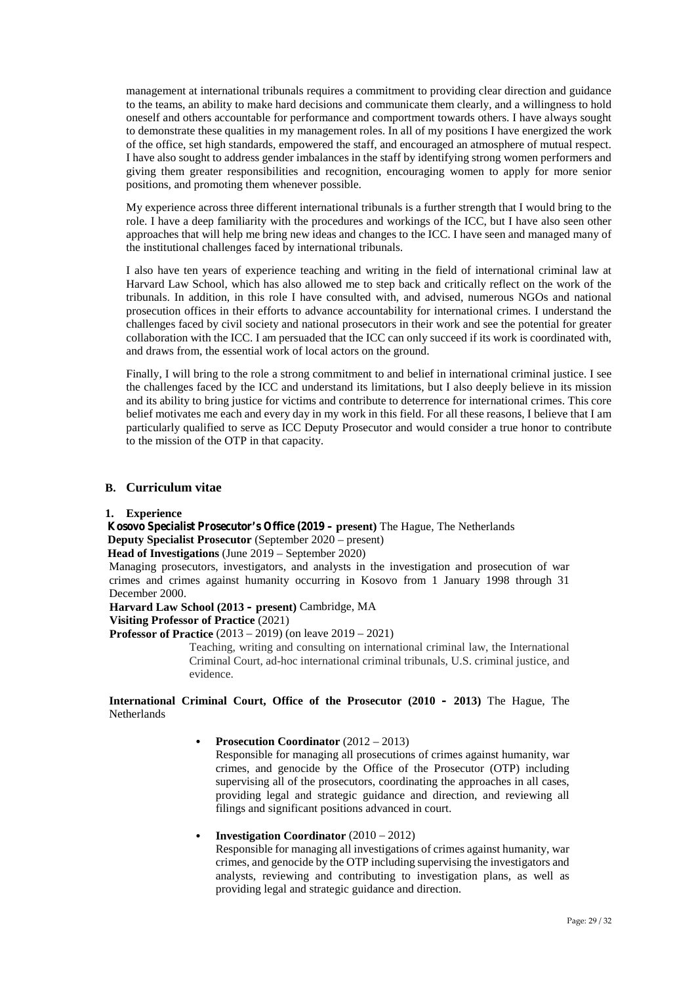management at international tribunals requires a commitment to providing clear direction and guidance to the teams, an ability to make hard decisions and communicate them clearly, and a willingness to hold oneself and others accountable for performance and comportment towards others. I have always sought to demonstrate these qualities in my management roles. In all of my positions I have energized the work of the office, set high standards, empowered the staff, and encouraged an atmosphere of mutual respect. I have also sought to address gender imbalances in the staff by identifying strong women performers and giving them greater responsibilities and recognition, encouraging women to apply for more senior positions, and promoting them whenever possible.

My experience across three different international tribunals is a further strength that I would bring to the role. I have a deep familiarity with the procedures and workings of the ICC, but I have also seen other approaches that will help me bring new ideas and changes to the ICC. I have seen and managed many of the institutional challenges faced by international tribunals.

I also have ten years of experience teaching and writing in the field of international criminal law at Harvard Law School, which has also allowed me to step back and critically reflect on the work of the tribunals. In addition, in this role I have consulted with, and advised, numerous NGOs and national prosecution offices in their efforts to advance accountability for international crimes. I understand the challenges faced by civil society and national prosecutors in their work and see the potential for greater collaboration with the ICC. I am persuaded that the ICC can only succeed if its work is coordinated with, and draws from, the essential work of local actors on the ground.

Finally, I will bring to the role a strong commitment to and belief in international criminal justice. I see the challenges faced by the ICC and understand its limitations, but I also deeply believe in its mission and its ability to bring justice for victims and contribute to deterrence for international crimes. This core belief motivates me each and every day in my work in this field. For all these reasons, I believe that I am particularly qualified to serve as ICC Deputy Prosecutor and would consider a true honor to contribute to the mission of the OTP in that capacity.

### **B. Curriculum vitae**

#### **1. Experience**

**Kosovo Specialist Prosecutor's Office (2019 – present)** The Hague, The Netherlands **Deputy Specialist Prosecutor** (September 2020 – present)

**Head of Investigations** (June 2019 – September 2020)

Managing prosecutors, investigators, and analysts in the investigation and prosecution of war crimes and crimes against humanity occurring in Kosovo from 1 January 1998 through 31 December 2000.

**Harvard Law School (2013 – present)** Cambridge, MA

### **Visiting Professor of Practice** (2021)

**Professor of Practice** (2013 – 2019) (on leave 2019 – 2021)

Teaching, writing and consulting on international criminal law, the International Criminal Court, ad-hoc international criminal tribunals, U.S. criminal justice, and evidence.

**International Criminal Court, Office of the Prosecutor (2010 – 2013)** The Hague, The **Netherlands** 

### **Prosecution Coordinator** (2012 – 2013)

Responsible for managing all prosecutions of crimes against humanity, war crimes, and genocide by the Office of the Prosecutor (OTP) including supervising all of the prosecutors, coordinating the approaches in all cases, providing legal and strategic guidance and direction, and reviewing all filings and significant positions advanced in court.

#### **Investigation Coordinator** (2010 – 2012)

Responsible for managing all investigations of crimes against humanity, war crimes, and genocide by the OTP including supervising the investigators and analysts, reviewing and contributing to investigation plans, as well as providing legal and strategic guidance and direction.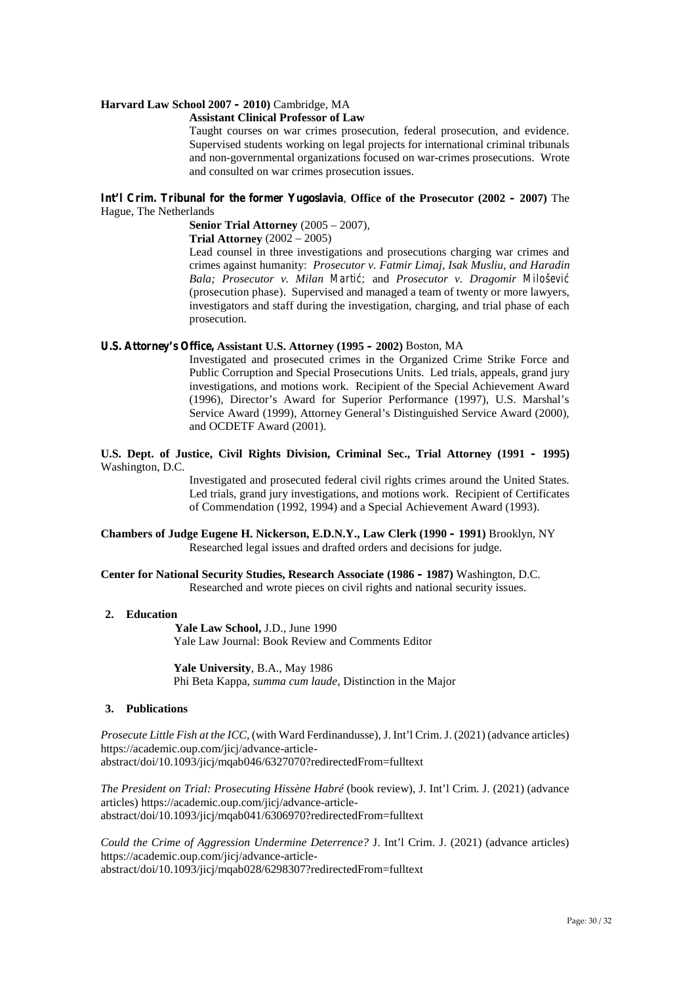#### **Harvard Law School 2007 – 2010)** Cambridge, MA

#### **Assistant Clinical Professor of Law**

Taught courses on war crimes prosecution, federal prosecution, and evidence. Supervised students working on legal projects for international criminal tribunals and non-governmental organizations focused on war-crimes prosecutions. Wrote and consulted on war crimes prosecution issues.

#### **Int'l Crim. Tribunal for the former Yugoslavia**, **Office of the Prosecutor (2002 – 2007)** The Hague, The Netherlands

**Senior Trial Attorney** (2005 – 2007)*,*

**Trial Attorney** (2002 – 2005)

Lead counsel in three investigations and prosecutions charging war crimes and crimes against humanity: *Prosecutor v. Fatmir Limaj, Isak Musliu, and Haradin Bala; Prosecutor v. Milan Marti ; and Prosecutor v. Dragomir Miloševi* (prosecution phase). Supervised and managed a team of twenty or more lawyers, investigators and staff during the investigation, charging, and trial phase of each prosecution.

#### **U.S. Attorney's Office, Assistant U.S. Attorney (1995 – 2002)** Boston, MA

Investigated and prosecuted crimes in the Organized Crime Strike Force and Public Corruption and Special Prosecutions Units. Led trials, appeals, grand jury investigations, and motions work. Recipient of the Special Achievement Award (1996), Director's Award for Superior Performance (1997), U.S. Marshal's Service Award (1999), Attorney General's Distinguished Service Award (2000), and OCDETF Award (2001).

#### **U.S. Dept. of Justice, Civil Rights Division, Criminal Sec., Trial Attorney (1991 – 1995)** Washington, D.C.

Investigated and prosecuted federal civil rights crimes around the United States. Led trials, grand jury investigations, and motions work. Recipient of Certificates of Commendation (1992, 1994) and a Special Achievement Award (1993).

#### **Chambers of Judge Eugene H. Nickerson, E.D.N.Y., Law Clerk (1990 – 1991)** Brooklyn, NY Researched legal issues and drafted orders and decisions for judge.

**Center for National Security Studies, Research Associate (1986 – 1987)** Washington, D.C. Researched and wrote pieces on civil rights and national security issues.

### **2. Education**

**Yale Law School,** J.D., June 1990 Yale Law Journal: Book Review and Comments Editor

**Yale University**, B.A., May 1986 Phi Beta Kappa, *summa cum laude,* Distinction in the Major

#### **3. Publications**

*Prosecute Little Fish at the ICC*, (with Ward Ferdinandusse), J. Int'l Crim. J. (2021) (advance articles) https://academic.oup.com/jicj/advance-article abstract/doi/10.1093/jicj/mqab046/6327070?redirectedFrom=fulltext

*The President on Trial: Prosecuting Hissène Habré* (book review), J. Int'l Crim. J. (2021) (advance articles) https://academic.oup.com/jicj/advance-article abstract/doi/10.1093/jicj/mqab041/6306970?redirectedFrom=fulltext

*Could the Crime of Aggression Undermine Deterrence?* J. Int'l Crim. J. (2021) (advance articles) https://academic.oup.com/jicj/advance-article abstract/doi/10.1093/jicj/mqab028/6298307?redirectedFrom=fulltext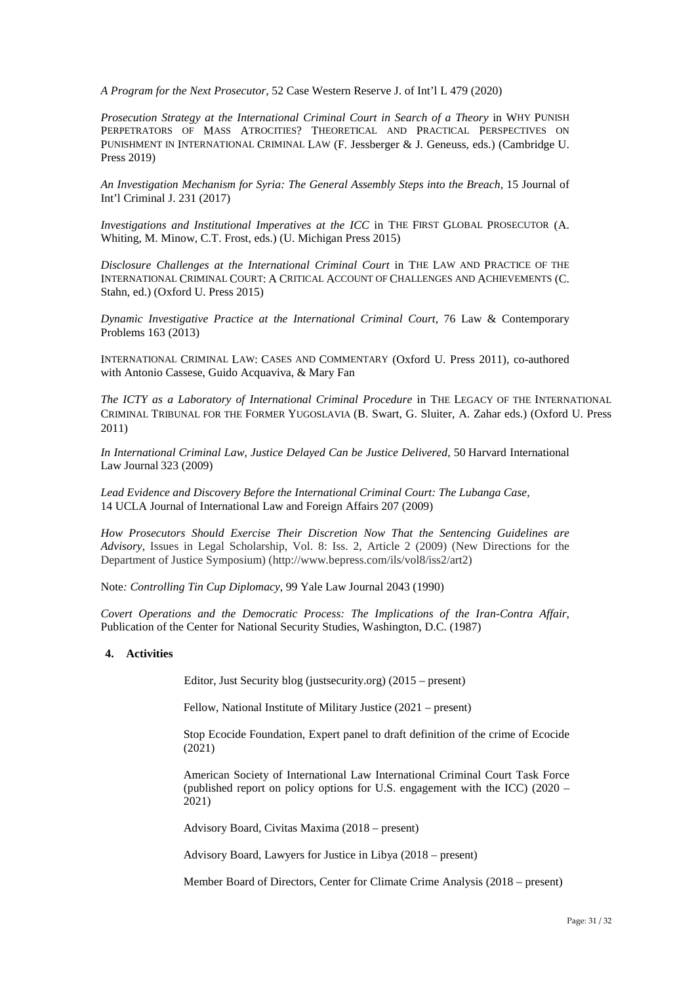*A Program for the Next Prosecutor,* 52 Case Western Reserve J. of Int'l L 479 (2020)

*Prosecution Strategy at the International Criminal Court in Search of a Theory* in WHY PUNISH PERPETRATORS OF MASS ATROCITIES? THEORETICAL AND PRACTICAL PERSPECTIVES ON PUNISHMENT IN INTERNATIONAL CRIMINAL LAW (F. Jessberger & J. Geneuss, eds.) (Cambridge U. Press 2019)

*An Investigation Mechanism for Syria: The General Assembly Steps into the Breach,* 15 Journal of Int'l Criminal J. 231 (2017)

*Investigations and Institutional Imperatives at the ICC* in THE FIRST GLOBAL PROSECUTOR (A. Whiting, M. Minow, C.T. Frost, eds.) (U. Michigan Press 2015)

*Disclosure Challenges at the International Criminal Court* in THE LAW AND PRACTICE OF THE INTERNATIONAL CRIMINAL COURT: A CRITICAL ACCOUNT OF CHALLENGES AND ACHIEVEMENTS (C. Stahn, ed.) (Oxford U. Press 2015)

*Dynamic Investigative Practice at the International Criminal Court*, 76 Law & Contemporary Problems 163 (2013)

INTERNATIONAL CRIMINAL LAW: CASES AND COMMENTARY (Oxford U. Press 2011), co-authored with Antonio Cassese, Guido Acquaviva, & Mary Fan

*The ICTY as a Laboratory of International Criminal Procedure* in THE LEGACY OF THE INTERNATIONAL CRIMINAL TRIBUNAL FOR THE FORMER YUGOSLAVIA (B. Swart, G. Sluiter, A. Zahar eds.) (Oxford U. Press 2011)

*In International Criminal Law, Justice Delayed Can be Justice Delivered,* 50 Harvard International Law Journal 323 (2009)

*Lead Evidence and Discovery Before the International Criminal Court: The Lubanga Case,* 14 UCLA Journal of International Law and Foreign Affairs 207 (2009)

*How Prosecutors Should Exercise Their Discretion Now That the Sentencing Guidelines are Advisory*, Issues in Legal Scholarship, Vol. 8: Iss. 2, Article 2 (2009) (New Directions for the Department of Justice Symposium) (http://www.bepress.com/ils/vol8/iss2/art2)

Note*: Controlling Tin Cup Diplomacy*, 99 Yale Law Journal 2043 (1990)

*Covert Operations and the Democratic Process: The Implications of the Iran-Contra Affair*, Publication of the Center for National Security Studies, Washington, D.C. (1987)

#### **4. Activities**

Editor, Just Security blog (justsecurity.org) (2015 – present)

Fellow, National Institute of Military Justice (2021 – present)

Stop Ecocide Foundation, Expert panel to draft definition of the crime of Ecocide (2021)

American Society of International Law International Criminal Court Task Force (published report on policy options for U.S. engagement with the ICC) (2020 – 2021)

Advisory Board, Civitas Maxima (2018 – present)

Advisory Board, Lawyers for Justice in Libya (2018 – present)

Member Board of Directors, Center for Climate Crime Analysis (2018 – present)